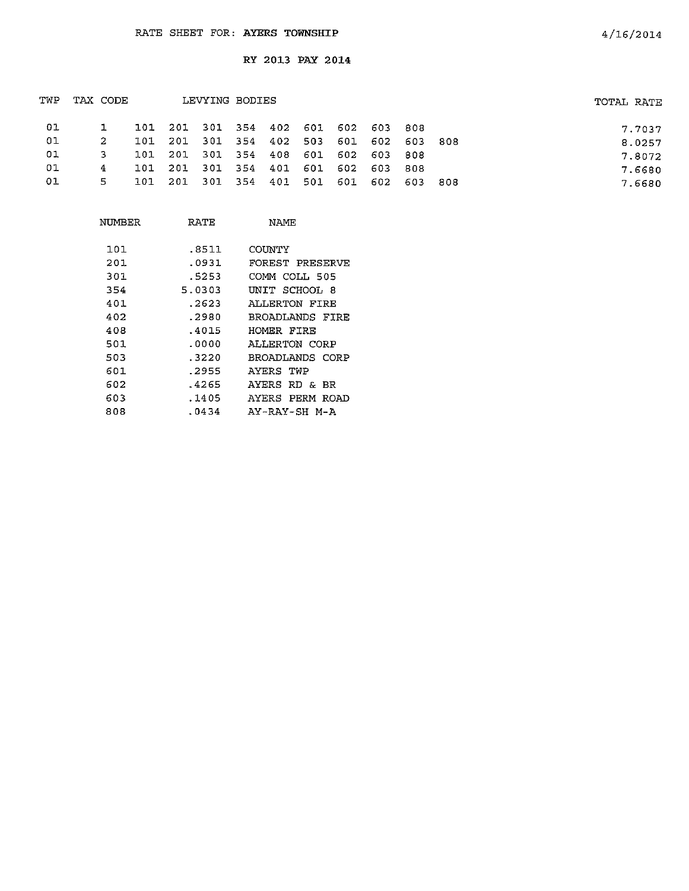| TWP | TAX CODE |    |      | LEVYING BODIES |                                     |  |                                     | TOTAL RATE |        |
|-----|----------|----|------|----------------|-------------------------------------|--|-------------------------------------|------------|--------|
| 01  |          |    |      |                | 101 201 301 354 402 601 602 603 808 |  |                                     |            | 7.7037 |
| 01  |          | 2  | ד חד |                |                                     |  | 201 301 354 402 503 601 602 603 808 |            | 8.0257 |
| 01  |          | 3  |      |                | 101 201 301 354 408 601 602 603 808 |  |                                     |            | 7.8072 |
| 01  |          | 4  |      |                | 101 201 301 354 401 601 602 603 808 |  |                                     |            | 7.6680 |
| 01  |          | 5. | 101  |                |                                     |  | 201 301 354 401 501 601 602 603 808 |            | 7.6680 |
|     |          |    |      |                |                                     |  |                                     |            |        |

| NUMBER | RATE   | NAMF            |
|--------|--------|-----------------|
| 101    | .8511  | COUNTY          |
| 201    | .0931  | FOREST PRESERVE |
| 301    | . 5253 | COMM COLL 505   |
| 354    | 5.0303 | UNIT SCHOOL 8   |
| 401    | . 2623 | ALLERTON FIRE   |
| 402    | .2980  | BROADLANDS FIRE |
| 408    | .4015  | HOMER FIRE      |
| 501    | .0000  | ALLERTON CORP   |
| 503    | .3220  | BROADLANDS CORP |
| 601    | .2955  | AYERS TWP       |
| 602    | .4265  | AYERS RD & BR   |
| 603    | .1405  | AYERS PERM ROAD |
| 808    | .0434  | AY-RAY-SH M-A   |
|        |        |                 |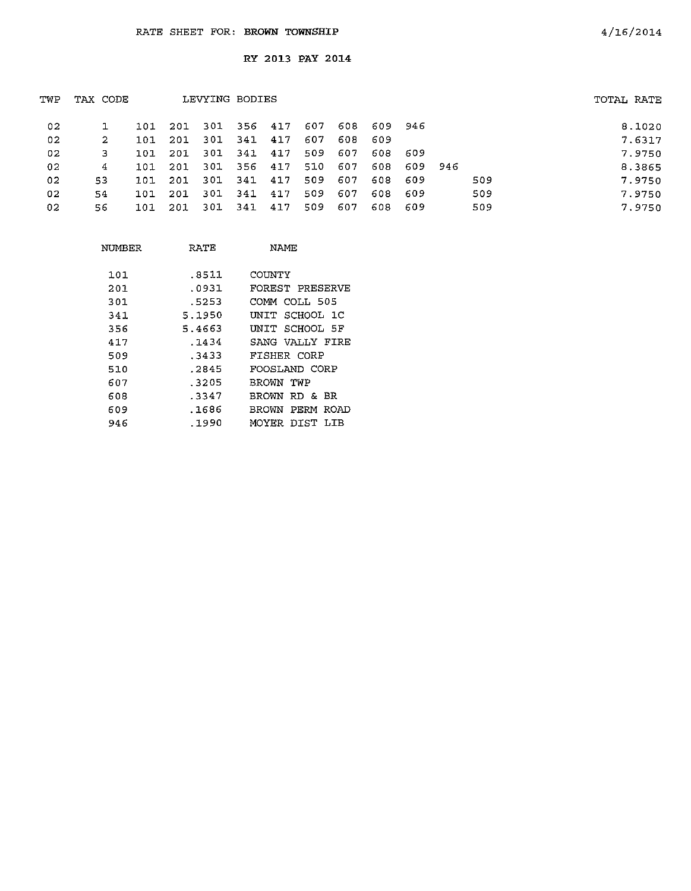| TWP | TAX CODE |     |      |       | LEVYING BODIES |     |      |      |         |         |     | TOTAL RATE |        |
|-----|----------|-----|------|-------|----------------|-----|------|------|---------|---------|-----|------------|--------|
| 02  |          | 101 | 201  |       | 301 356 417    |     | 607  | 608. | 609 946 |         |     |            | 8.1020 |
| 02  | 2.       | 101 | 201  |       | 301 341 417    |     | 607. | 608  | -609    |         |     |            | 7.6317 |
| 02  | 3.       | 101 | 201  | 301   | 341 417        |     | 509  | 607  | 608.    | -609    |     |            | 7.9750 |
| 02  | 4        | 101 | -201 | 301   | 356 417        |     | 510  | 607  | 608     | 609 946 |     |            | 8.3865 |
| 02. | 53       | 101 | 201  | - 301 | 341            | 417 | 509  | 607  | 608     | 609     | 509 |            | 7.9750 |
| 02  | 54       | 101 | 201  | -301  | 341            | 417 | 509  | 607  | 608     | 609     | 509 |            | 7.9750 |
| 02  | 56       | 101 | 201  | 301   | 341            | 417 | 509  | 607  | 608     | -609    | 509 |            | 7.9750 |
|     |          |     |      |       |                |     |      |      |         |         |     |            |        |

| NUMBER | RATE   | NAME                    |
|--------|--------|-------------------------|
| 101    | .8511  | COUNTY                  |
| 201    | .0931  | FOREST PRESERVE         |
| 301    | .5253  | COMM COLI 505           |
| 341    | 5.1950 | UNIT SCHOOL 1C          |
| 356    | 5.4663 | UNIT SCHOOL 5F          |
| 417    | . 1434 | SANG VALLY FIRE         |
| 509    | . 3433 | FISHER CORP             |
| 510    | .2845  | FOOSLAND CORP           |
| 607    | 3205   | BROWN TWP               |
| 608    | -3347  | BROWN RD & BR           |
| 609    | .1686  | BROWN<br>PERM ROAD      |
| 946    | .1990  | DIST -<br>MOYER<br>T.TR |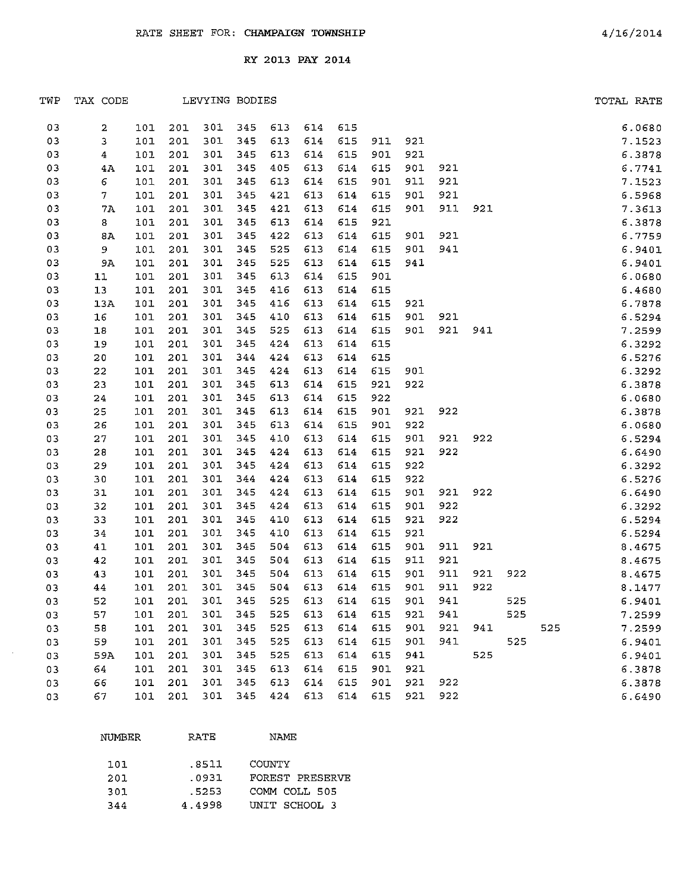| TWP | TAX CODE       |     |     |     | LEVYING BODIES |     |     |     |                 |     |     |     |     |     | TOTAL RATE |
|-----|----------------|-----|-----|-----|----------------|-----|-----|-----|-----------------|-----|-----|-----|-----|-----|------------|
| 03  | 2              | 101 | 201 | 301 | 345            | 613 | 614 | 615 |                 |     |     |     |     |     | 6.0680     |
| 03  | 3              | 101 | 201 | 301 | 345            | 613 | 614 | 615 | 911             | 921 |     |     |     |     | 7.1523     |
| 03  | $\overline{4}$ | 101 | 201 | 301 | 345            | 613 | 614 | 615 | 901             | 921 |     |     |     |     | 6.3878     |
| 03  | 4A             | 101 | 201 | 301 | 345            | 405 | 613 | 614 | 615             | 901 | 921 |     |     |     | 6.7741     |
| 03  | 6              | 101 | 201 | 301 | 345            | 613 | 614 | 615 | 901             | 911 | 921 |     |     |     | 7.1523     |
| 03  | 7              | 101 | 201 | 301 | 345            | 421 | 613 | 614 | 615             | 901 | 921 |     |     |     | 6.5968     |
| 03  | 7A             | 101 | 201 | 301 | 345            | 421 | 613 | 614 | 615             | 901 | 911 | 921 |     |     | 7.3613     |
| 03  | 8              | 101 | 201 | 301 | 345            | 613 | 614 | 615 | 921             |     |     |     |     |     | 6.3878     |
| 03  | 8A             | 101 | 201 | 301 | 345            | 422 | 613 | 614 | 615             | 901 | 921 |     |     |     | 6.7759     |
| 03  | 9              | 101 | 201 | 301 | 345            | 525 | 613 | 614 | 615             | 901 | 941 |     |     |     | 6.9401     |
| 03  | 9A             | 101 | 201 | 301 | 345            | 525 | 613 | 614 | 615             | 941 |     |     |     |     | 6.9401     |
| 03  | 11             | 101 | 201 | 301 | 345            | 613 | 614 | 615 | 901             |     |     |     |     |     | 6.0680     |
| 03  | 13             | 101 | 201 | 301 | 345            | 416 | 613 | 614 | 615             |     |     |     |     |     | 6.4680     |
| 03  | 13A            | 101 | 201 | 301 | 345            | 416 | 613 | 614 | 615             | 921 |     |     |     |     | 6.7878     |
| 03  | 16             | 101 | 201 | 301 | 345            | 410 | 613 | 614 | 615             | 901 | 921 |     |     |     | 6.5294     |
| 03  | 18             | 101 | 201 | 301 | 345            | 525 | 613 | 614 | 615             | 901 | 921 | 941 |     |     | 7.2599     |
| 03  | 19             | 101 | 201 | 301 | 345            | 424 | 613 | 614 | 615             |     |     |     |     |     | 6.3292     |
| 03  | 20             | 101 | 201 | 301 | 344            | 424 | 613 | 614 | 615             |     |     |     |     |     | 6.5276     |
| 03  | 22             | 101 | 201 | 301 | 345            | 424 | 613 | 614 | 615             | 901 |     |     |     |     | 6.3292     |
| 03  | 23             | 101 | 201 | 301 | 345            | 613 | 614 | 615 | 921             | 922 |     |     |     |     | 6.3878     |
| 03  | 24             | 101 | 201 | 301 | 345            | 613 | 614 | 615 | 922             |     |     |     |     |     | 6.0680     |
| 03  | 25             | 101 | 201 | 301 | 345            | 613 | 614 | 615 | 901             | 921 | 922 |     |     |     | 6.3878     |
| 03  | 26             | 101 | 201 | 301 | 345            | 613 | 614 | 615 | 901             | 922 |     |     |     |     | 6.0680     |
| 03  | 27             | 101 | 201 | 301 | 345            | 410 | 613 | 614 | 615             | 901 | 921 | 922 |     |     | 6.5294     |
| 03  | 28             | 101 | 201 | 301 | 345            | 424 | 613 | 614 | 615             | 921 | 922 |     |     |     | 6.6490     |
| 03  | 29             | 101 | 201 | 301 | 345            | 424 | 613 | 614 | 615             | 922 |     |     |     |     | 6.3292     |
| 03  | 30             | 101 | 201 | 301 | 344            | 424 | 613 | 614 | 615             | 922 |     |     |     |     | 6.5276     |
| 03  | 31             | 101 | 201 | 301 | 345            | 424 | 613 | 614 | 615             | 901 | 921 | 922 |     |     | 6.6490     |
| 03  | 32             | 101 | 201 | 301 | 345            | 424 | 613 | 614 | 615             | 901 | 922 |     |     |     | 6.3292     |
| 03  | 33             | 101 | 201 | 301 | 345            | 410 | 613 | 614 | 615             | 921 | 922 |     |     |     | 6.5294     |
| 03  | 34             | 101 | 201 | 301 | 345            | 410 | 613 | 614 | 615             | 921 |     |     |     |     | 6.5294     |
| 03  | 41             | 101 | 201 | 301 | 345            | 504 | 613 | 614 | 615             | 901 | 911 | 921 |     |     | 8.4675     |
| 03  | 42             | 101 | 201 | 301 | 345            | 504 | 613 | 614 | 615             | 911 | 921 |     |     |     | 8.4675     |
| 03  | 43             | 101 | 201 | 301 | 345            | 504 | 613 | 614 | 615             | 901 | 911 | 921 | 922 |     | 8.4675     |
| 03  | 44             | 101 | 201 | 301 | 345            | 504 | 613 | 614 | 615             | 901 | 911 | 922 |     |     | 8.1477     |
| 03  | 52             | 101 | 201 | 301 | 345            | 525 | 613 |     | 614 615 901 941 |     |     |     | 525 |     | 6.9401     |
| 03  | 57             | 101 | 201 | 301 | 345            | 525 | 613 | 614 | 615             | 921 | 941 |     | 525 |     | 7.2599     |
| 03  | 58             | 101 | 201 | 301 | 345            | 525 | 613 | 614 | 615             | 901 | 921 | 941 |     | 525 | 7.2599     |
| 03  | 59             | 101 | 201 | 301 | 345            | 525 | 613 | 614 | 615             | 901 | 941 |     | 525 |     | 6.9401     |
| 03  | 59A            | 101 | 201 | 301 | 345            | 525 | 613 | 614 | 615             | 941 |     | 525 |     |     | 6.9401     |
| 03  | 64             | 101 | 201 | 301 | 345            | 613 | 614 | 615 | 901             | 921 |     |     |     |     | 6.3878     |
| 03  | 66             | 101 | 201 | 301 | 345            | 613 | 614 | 615 | 901             | 921 | 922 |     |     |     | 6.3878     |
| 03  | 67             | 101 | 201 | 301 | 345            | 424 | 613 |     | 614 615         | 921 | 922 |     |     |     | 6.6490     |

| NUMBER | <b>RATE</b> | <b>NAME</b>     |
|--------|-------------|-----------------|
| 101    | .8511       | COUNTY          |
| 201    | .0931       | FOREST PRESERVE |
| 301    | .5253       | COMM COLL 505   |
| 344    | 4.4998      | UNIT SCHOOL 3   |

 $\sim$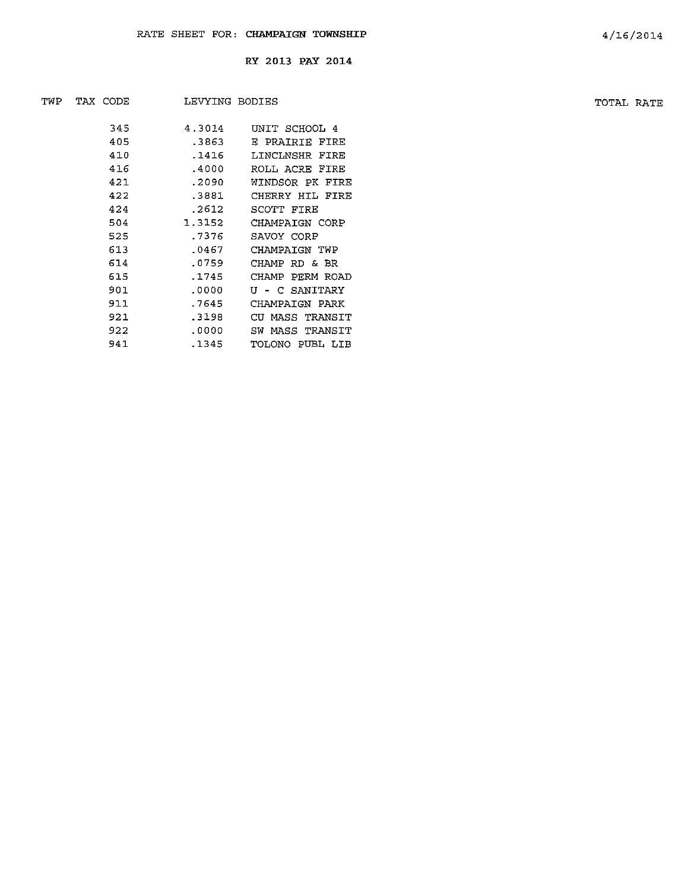| TWP | TAX CODE<br>LEVYING BODIES |     |        |                 | TOTAL RATE |  |
|-----|----------------------------|-----|--------|-----------------|------------|--|
|     |                            | 345 | 4.3014 | UNIT SCHOOL 4   |            |  |
|     |                            | 405 | .3863  | E PRAIRIE FIRE  |            |  |
|     |                            | 410 | .1416  | LINCLNSHR FIRE  |            |  |
|     |                            | 416 | .4000  | ROLL ACRE FIRE  |            |  |
|     |                            | 421 | .2090  | WINDSOR PK FIRE |            |  |
|     |                            | 422 | .3881  | CHERRY HIL FIRE |            |  |
|     |                            | 424 | .2612  | SCOTT FIRE      |            |  |
|     |                            | 504 | 1.3152 | CHAMPAIGN CORP  |            |  |
|     |                            | 525 | .7376  | SAVOY CORP      |            |  |
|     |                            | 613 | .0467  | CHAMPAIGN TWP   |            |  |
|     |                            | 614 | .0759  | CHAMP RD & BR   |            |  |
|     |                            | 615 | .1745  | CHAMP PERM ROAD |            |  |
|     |                            | 901 | .0000  | U - C SANITARY  |            |  |
|     |                            | 911 | .7645  | CHAMPAIGN PARK  |            |  |
|     |                            | 921 | .3198  | CU MASS TRANSIT |            |  |
|     |                            | 922 | .0000  | SW MASS TRANSIT |            |  |
|     |                            | 941 | .1345  | TOLONO PUBL LIB |            |  |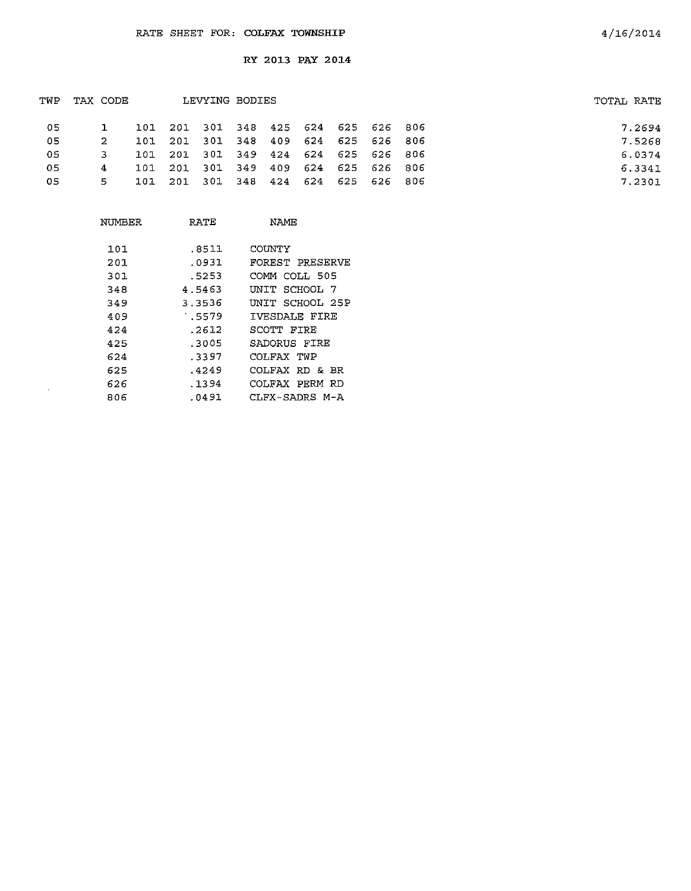| TWP | TAX CODE |     |                                     | LEVYING BODIES |  |  | TOTAL RATE |
|-----|----------|-----|-------------------------------------|----------------|--|--|------------|
| 05  |          |     | 101 201 301 348 425 624 625 626 806 |                |  |  | 7.2694     |
| 05  | 2        |     | 101 201 301 348 409 624 625 626 806 |                |  |  | 7.5268     |
| 05. |          |     | 101 201 301 349 424 624 625 626 806 |                |  |  | 6.0374     |
| 05  | 4        | 101 | 201 301 349 409 624 625 626 806     |                |  |  | 6.3341     |
| 05  | 5.       |     | 101 201 301 348 424 624 625 626 806 |                |  |  | 7.2301     |
|     |          |     |                                     |                |  |  |            |

| NUMBER | RATE   | NAME            |
|--------|--------|-----------------|
| 101    | .8511  | COUNTY          |
| 201    | .0931  | FOREST PRESERVE |
| 301    | .5253  | COMM COLL 505   |
| 348    | 4.5463 | UNIT SCHOOL 7   |
| 349    | 3.3536 | UNIT SCHOOL 25P |
| 409    | .5579  | IVESDALE FIRE   |
| 424    | .2612  | SCOTT FIRE      |
| 425    | .3005  | SADORUS FIRE    |
| 624    | .3397  | COLFAX TWP      |
| 625    | .4249  | COLFAX RD & BR  |
| 626    | . 1394 | COLFAX PERM RD  |
| 806    | .0491  | CLFX-SADRS M-A  |

 $\bar{\mathcal{A}}$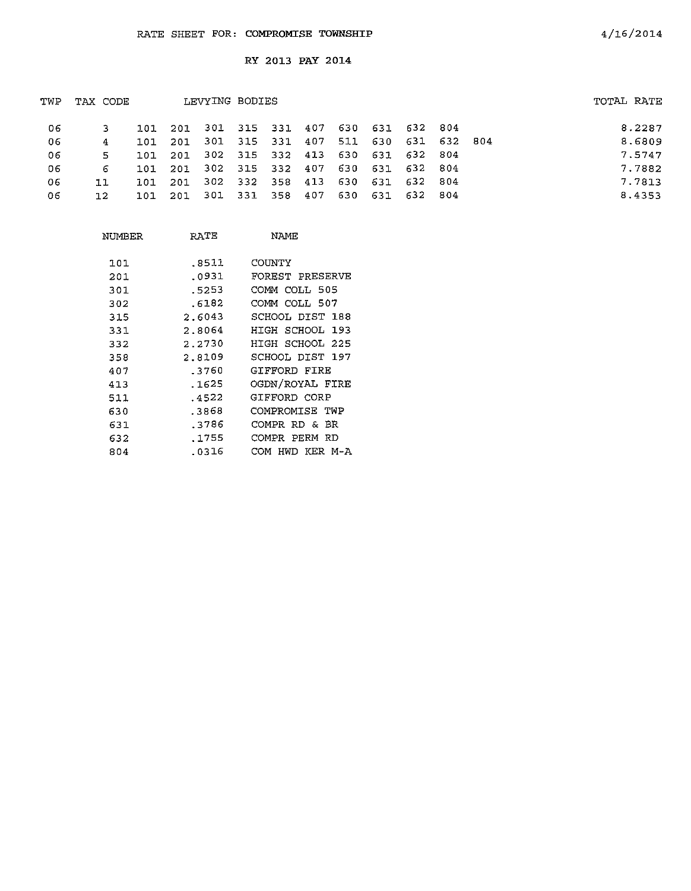| TWP | TAX CODE |      |         | LEVYING BODIES                          |  |                 |     |                 |  | TOTAL RATE |
|-----|----------|------|---------|-----------------------------------------|--|-----------------|-----|-----------------|--|------------|
| 06  |          |      |         | 101 201 301 315 331 407 630 631 632 804 |  |                 |     |                 |  | 8.2287     |
| 06  |          | 101  | 201     | 301 315 331 407                         |  | 511             |     | 630 631 632 804 |  | 8.6809     |
| 06  | 5.       | 101  | 201     | 302 315 332 413 630 631 632 804         |  |                 |     |                 |  | 7.5747     |
| 06  | 6.       |      | 101 201 | 302 315 332 407 630 631 632 804         |  |                 |     |                 |  | 7.7882     |
| 06  | 11       | ומד  | 201     | 302 332 358 413                         |  | 630 631 632 804 |     |                 |  | 7.7813     |
| 06  | 12       | 101. | - 201   | 301 331 358 407                         |  | 630             | 631 | 632 804         |  | 8.4353     |
|     |          |      |         |                                         |  |                 |     |                 |  |            |

| NUMBER | RATE   | NAME               |
|--------|--------|--------------------|
|        |        |                    |
| 101    | .8511  | COUNTY             |
| 201    | .0931  | FOREST PRESERVE    |
| 301    | .5253  | COMM COLL 505      |
| 302    | .6182  | COMM COLL 507      |
| 315    | 2.6043 | SCHOOL DIST 188    |
| 331    | 2.8064 | HIGH SCHOOL 193    |
| 332    | 2.2730 | HIGH SCHOOL 225    |
| 358    | 2.8109 | SCHOOL DIST 197    |
| 407    | .3760  | GIFFORD FIRE       |
| 413    | .1625  | OGDN/ROYAL FIRE    |
| 511    | .4522  | GIFFORD CORP       |
| 630    | .3868  | COMPROMISE TWP     |
| 631    | .3786  | COMPR RD & BR      |
| 632    | . 1755 | COMPR PERM RD      |
| 804    | .0316  | HWD KER M-A<br>COM |

4/16/2014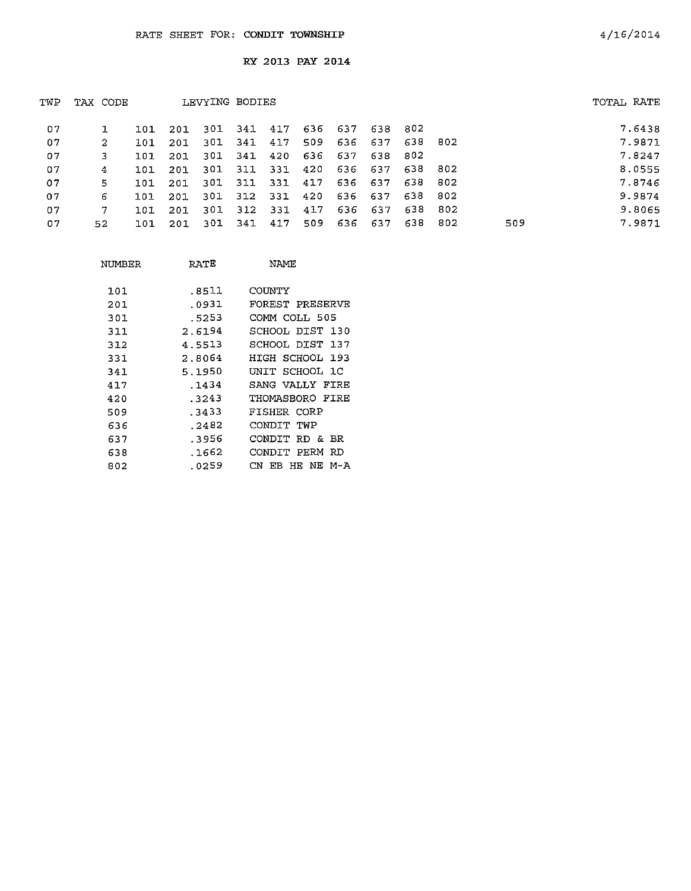| TWP | TAX CODE |       |         | LEVYING BODIES  |  |                                     |         |     | TOTAL RATE |        |
|-----|----------|-------|---------|-----------------|--|-------------------------------------|---------|-----|------------|--------|
| 07  |          | 101 - |         |                 |  | 201 301 341 417 636 637 638 802     |         |     |            | 7.6438 |
| 07  | 2.       | 101   | 201     |                 |  | 301 341 417 509 636 637 638 802     |         |     |            | 7.9871 |
| 07  |          | 101   | -201    |                 |  | 301 341 420 636 637 638 802         |         |     |            | 7.8247 |
| 07  | 4        | 101   | -201    |                 |  | 301 311 331 420 636 637 638 802     |         |     |            | 8.0555 |
| 07  | 5.       |       | 101 201 |                 |  | 301 311 331 417 636 637 638 802     |         |     |            | 7.8746 |
| 07  | 6.       | 101   |         |                 |  | 201 301 312 331 420 636 637 638 802 |         |     |            | 9.9874 |
| 07  | 7.       | 101   | 201     |                 |  | 301 312 331 417 636 637             | 638 802 |     |            | 9.8065 |
| 07  | 52.      | 101   |         | 201 301 341 417 |  | 509 636 637                         | 638 802 | 509 |            | 7.9871 |

| NUMBER | RATE   | NAME                      |
|--------|--------|---------------------------|
| 101    | .8511  | COUNTY                    |
| 201    | .0931  | FOREST PRESERVE           |
| 301    | .5253  | COMM COLL 505             |
| 311    | 2.6194 | SCHOOL DIST<br>130        |
| 312    | 4.5513 | SCHOOL DIST<br>137        |
| 331    | 2.8064 | HIGH SCHOOL 193           |
| 341    | 5.1950 | SCHOOL 1C<br>UNIT         |
| 417    | .1434  | SANG VALLY FIRE           |
| 420    | .3243  | THOMASBORO FIRE           |
| 509    | -3433  | FISHER CORP               |
| 636    | .2482  | CONDIT TWP                |
| 637    | .3956  | CONDIT<br>RD & BR         |
| 638    | .1662  | PERM<br>RD<br>CONDIT      |
| 802    | .0259  | HE NE<br>CN.<br>М-А<br>EB |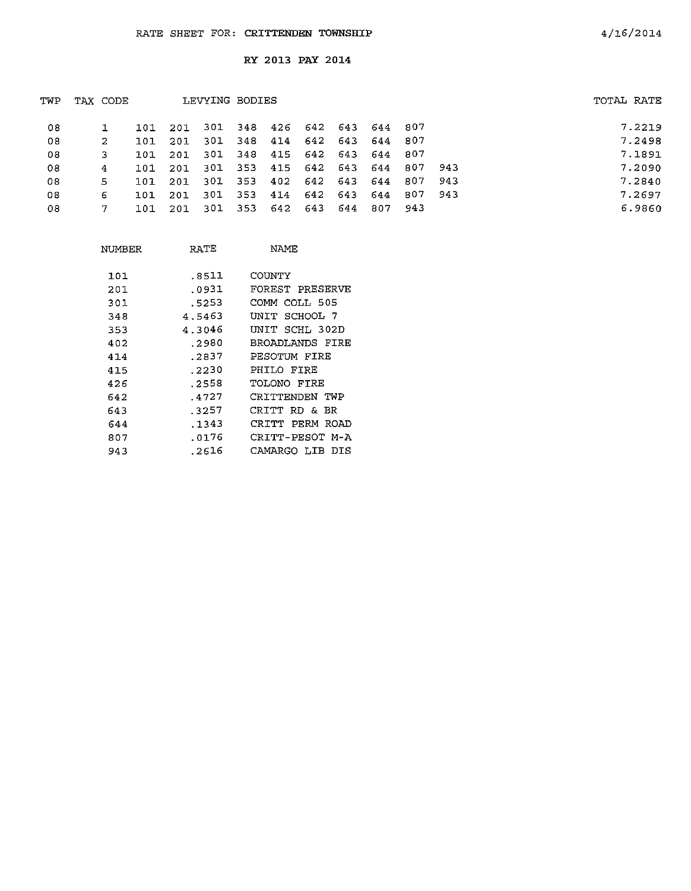| TWP | TAX CODE |     |      | LEVYING BODIES |             |                             |                 |     |     |         |     | TOTAL RATE |
|-----|----------|-----|------|----------------|-------------|-----------------------------|-----------------|-----|-----|---------|-----|------------|
| 08  |          | 101 | -201 |                |             | 301 348 426 642 643 644 807 |                 |     |     |         |     | 7.2219     |
| 08  | -2.      | 101 | 201  |                | 301 348 414 |                             | 642 643         |     | 644 | 807     |     | 7.2498     |
| 08  |          | 101 | -201 | 301            | 348         |                             | 415 642 643 644 |     |     | 807     |     | 7.1891     |
| 08  | 4        | 101 | -201 | 301            | 353         |                             | 415 642 643 644 |     |     | 807     | 943 | 7.2090     |
| 08  | 5        | 101 | 201  | 301            | 353         |                             | 402 642 643     |     | 644 | 807     | 943 | 7.2840     |
| 08  | 6        | 101 | 201  | 301            | 353         | 414                         | 642 643         |     | 644 | 807 943 |     | 7.2697     |
| 08  |          | 101 | -201 |                |             | 301 353 642 643             |                 | 644 | 807 | - 943   |     | 6.9860     |
|     |          |     |      |                |             |                             |                 |     |     |         |     |            |

| NIMBER | RATE   | NAME                   |
|--------|--------|------------------------|
| 101    | .8511  | COINTY                 |
| 201    | .0931  | FOREST PRESERVE        |
| 301    | .5253  | COMM COLL 505          |
| 348    | 4.5463 | SCHOOL 7<br>UNIT       |
| 353    | 4.3046 | SCHL 302D<br>UNIT      |
| 402    | .2980  | BROADLANDS FIRE        |
| 414    | .2837  | PESOTUM FIRE           |
| 415    | .2230  | PHILO FIRE             |
| 426    | .2558  | TOLONO FIRE            |
| 642    | .4727  | CRITTENDEN TWP         |
| 643    | .3257  | CRITT<br>RD &<br>BR    |
| 644    | .1343  | CRTTT.<br>PFRM<br>ROAD |
| 807    | . 0176 | CRITT-PESOT M-A        |
| 943    | .2616  | CAMARGO LIB<br>DTS     |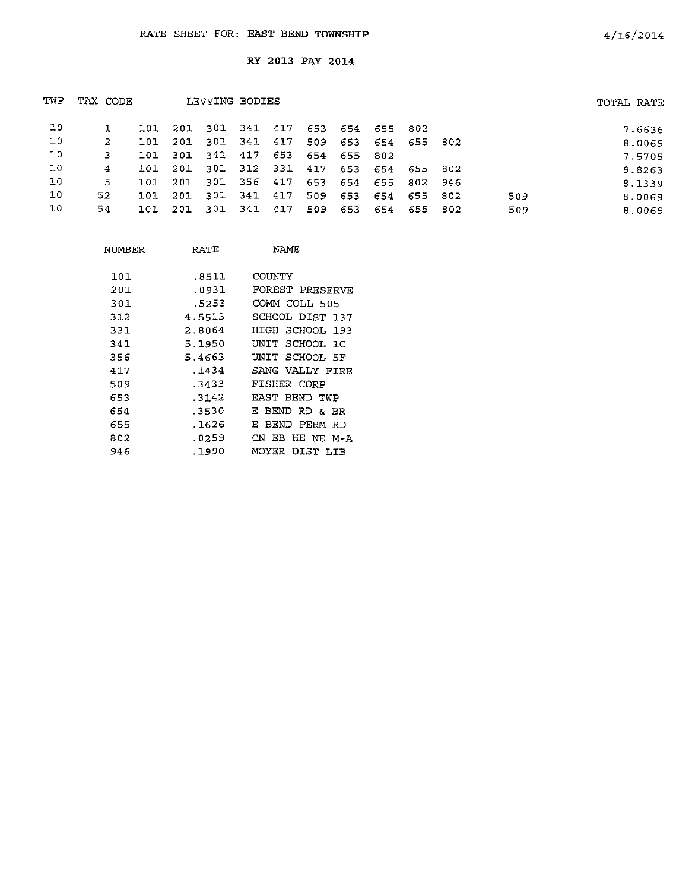| TWP | TAX CODE |       |     |      | LEVYING BODIES |     |     |     |       |         |     |     | TOTAL RATE |
|-----|----------|-------|-----|------|----------------|-----|-----|-----|-------|---------|-----|-----|------------|
| 10  |          | 101   | 201 | -301 | 341            | 417 | 653 | 654 | 655 - | - 802   |     |     | 7.6636     |
| 10  | 2        | 101   | 201 | -301 | 341            | 417 | 509 | 653 | 654   | 655 802 |     |     | 8.0069     |
| 10  | 3        | 101   | 301 | 341  | 417            | 653 | 654 | 655 | -802  |         |     |     | 7.5705     |
| 10  | 4        | 101   | 201 | -301 | 312            | 331 | 417 | 653 | 654   | 655     | 802 |     | 9.8263     |
| 10  | 5        | 1.01. | 201 | -301 | 356            | 417 | 653 | 654 | 655   | 802 946 |     |     | 8.1339     |
| 10  | 52       | 101   | 201 | 301  | -341           | 417 | 509 | 653 | 654   | 655     | 802 | 509 | 8.0069     |
| 10  | 54       | 101   | 201 | 301  | 341            | 417 | 509 | 653 | 654   | 655 802 |     | 509 | 8.0069     |

| NUMBER | RATE   | NAME                  |
|--------|--------|-----------------------|
| 1.01.  | .8511  | COUNTY                |
| 201    | .0931  | FOREST PRESERVE       |
| 301    | .5253  | COMM COLL 505         |
| 312    | 4.5513 | SCHOOL DIST 137       |
| 331    | 2.8064 | SCHOOL 193<br>HIGH    |
| 341    | 5.1950 | UNIT SCHOOL 1C        |
| 356    | 5.4663 | UNIT SCHOOL 5F        |
| 417    | .1434  | SANG VALLY FIRE       |
| 509    | .3433  | FISHER CORP           |
| 653    | .3142  | EAST BEND TWP         |
| 654    | .3530  | BEND RD & BR<br>E.    |
| 655    | .1626  | E.<br>BEND PERM<br>RD |
| 802    | .0259  | CN EB HE NE M-A       |
| 946    | .1990  | MOYER<br>DIST<br>T.TR |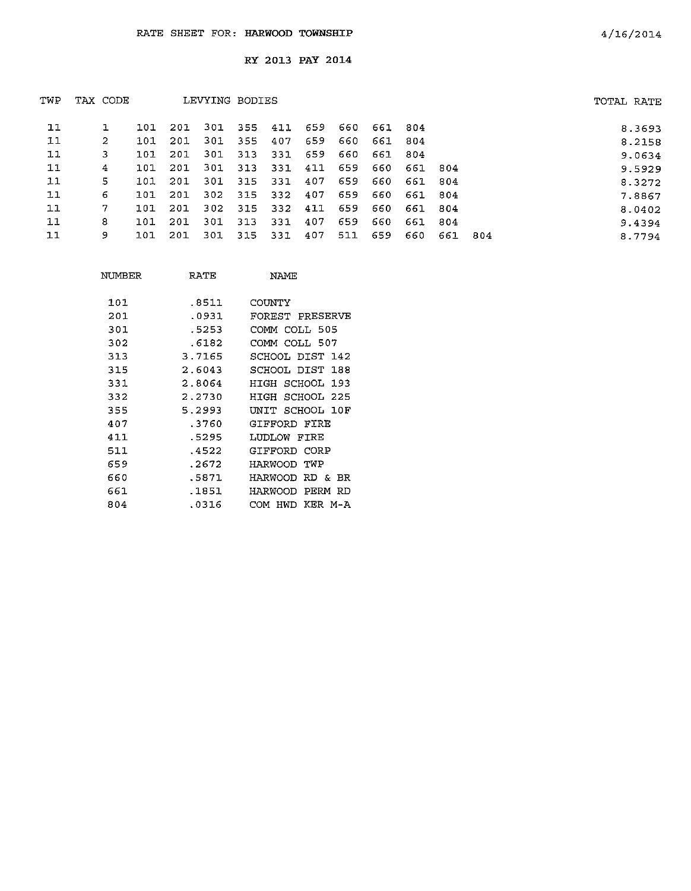| TWP | TAX CODE |     |     | LEVYING BODIES |         |         |     |     |     |         |      |     | TOTAL RATE |
|-----|----------|-----|-----|----------------|---------|---------|-----|-----|-----|---------|------|-----|------------|
| 11  |          | 101 | 201 |                | 301 355 | 411 659 |     | 660 | 661 | -804    |      |     | 8.3693     |
| 11  | 2        | 101 | 201 | 301            | 355     | 407     | 659 | 660 | 661 | 304     |      |     | 8.2158     |
| 11  | 3        | 101 | 201 | 301            | 313     | 331     | 659 | 660 | 661 | 804     |      |     | 9.0634     |
| 11  | 4        | 101 | 201 | 301            | 313     | 331     | 411 | 659 | 660 | 661 804 |      |     | 9.5929     |
| 11  | 5.       | 101 | 201 | 301            | 315     | 331     | 407 | 659 | 660 | 661     | -804 |     | 8.3272     |
| 11  | 6.       | 101 | 201 | 302            | 315     | 332     | 407 | 659 | 660 | 661     | 804  |     | 7.8867     |
| 11  | 7        | 101 | 201 | 302            | 315     | 332     | 411 | 659 | 660 | 661 804 |      |     | 8.0402     |
| 11  | 8        | 101 | 201 | 301            | 313     | 331     | 407 | 659 | 660 | 661     | 804  |     | 9.4394     |
| 11  | 9        | 101 | 201 | 301            | 315     | 331     | 407 | 511 | 659 | 660     | 661  | 804 | 8.7794     |

| NUMBER | RATE   | <b>NAME</b>            |
|--------|--------|------------------------|
| 101    | .8511  | COUNTY                 |
| 201    | .0931  | FOREST PRESERVE        |
| 301    | .5253  | СОММ СОТТ, 505         |
| 302    | .6182  | COMM COLL 507          |
| 313    | 3.7165 | SCHOOL DIST 142        |
| 315    | 2.6043 | SCHOOL DIST<br>188     |
| 331    | 2.8064 | HIGH SCHOOL 193        |
| 332    | 2.2730 | SCHOOL<br>HIGH<br>225  |
| 355    | 5.2993 | SCHOOL 10F<br>ידותוז   |
| 407    | .3760  | GIFFORD FIRE           |
| 411    | .5295  | LUDLOW<br>FTRE         |
| 511    | .4522  | CORP<br>GIFFORD        |
| 659    | .2672  | TWP<br>HARWOOD         |
| 660    | .5871  | HARWOOD<br>RD.<br>& BR |
| 661    | .1851  | HARWOOD<br>PERM<br>RD  |
| 804    | .0316  | KER M-A<br>HWD<br>COM  |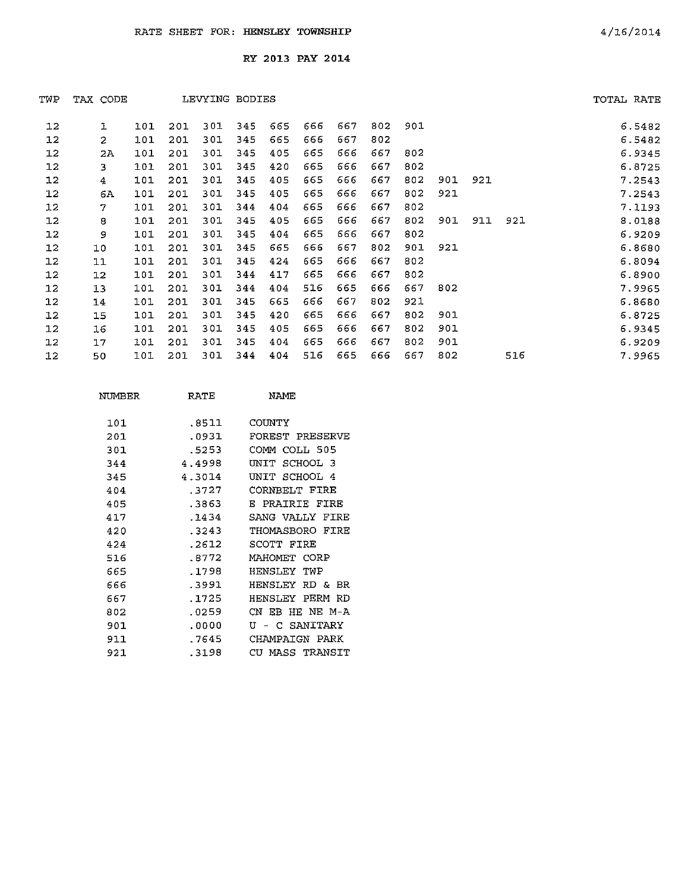| TWP               | TAX CODE |     |     | LEVYING BODIES |     |     |     |     |     |     |     |     |     | TOTAL RATE |
|-------------------|----------|-----|-----|----------------|-----|-----|-----|-----|-----|-----|-----|-----|-----|------------|
| 12                | ı        | 101 | 201 | 301            | 345 | 665 | 666 | 667 | 802 | 901 |     |     |     | 6.5482     |
| 12                | 2        | 101 | 201 | 301            | 345 | 665 | 666 | 667 | 802 |     |     |     |     | 6.5482     |
| 12                | 2A       | 101 | 201 | 301            | 345 | 405 | 665 | 666 | 667 | 802 |     |     |     | 6.9345     |
| 12                | 3        | 101 | 201 | 301            | 345 | 420 | 665 | 666 | 667 | 802 |     |     |     | 6.8725     |
| 12                | 4        | 101 | 201 | 301            | 345 | 405 | 665 | 666 | 667 | 802 | 901 | 921 |     | 7.2543     |
| 12                | 6A       | 101 | 201 | 301            | 345 | 405 | 665 | 666 | 667 | 802 | 921 |     |     | 7.2543     |
| 12                | 7        | 101 | 201 | 301            | 344 | 404 | 665 | 666 | 667 | 802 |     |     |     | 7.1193     |
| 12                | 8        | 101 | 201 | 301            | 345 | 405 | 665 | 666 | 667 | 802 | 901 | 911 | 921 | 8.0188     |
| 12                | 9        | 101 | 201 | 301            | 345 | 404 | 665 | 666 | 667 | 802 |     |     |     | 6.9209     |
| 12                | 10       | 101 | 201 | 301            | 345 | 665 | 666 | 667 | 802 | 901 | 921 |     |     | 6.8680     |
| 12                | 11       | 101 | 201 | 301            | 345 | 424 | 665 | 666 | 667 | 802 |     |     |     | 6.8094     |
| 12                | 12       | 101 | 201 | 301            | 344 | 417 | 665 | 666 | 667 | 802 |     |     |     | 6.8900     |
| $12 \,$           | 13       | 101 | 201 | 301            | 344 | 404 | 516 | 665 | 666 | 667 | 802 |     |     | 7.9965     |
| 12                | 14       | 101 | 201 | 301            | 345 | 665 | 666 | 667 | 802 | 921 |     |     |     | 6.8680     |
| 12                | 15       | 101 | 201 | 301            | 345 | 420 | 665 | 666 | 667 | 802 | 901 |     |     | 6.8725     |
| $12 \overline{ }$ | 16       | 101 | 201 | 301            | 345 | 405 | 665 | 666 | 667 | 802 | 901 |     |     | 6.9345     |
| $12 \,$           | 17       | 101 | 201 | 301            | 345 | 404 | 665 | 666 | 667 | 802 | 901 |     |     | 6.9209     |
| 12                | 50       | 101 | 201 | 301            | 344 | 404 | 516 | 665 | 666 | 667 | 802 |     | 516 | 7.9965     |

| NTIMBER | RATE    | NAMF.                        |
|---------|---------|------------------------------|
| 1.01.   | .8511   | COUNTY                       |
| 201     | .0931   | FOREST PRESERVE              |
| 301     | . 5253  | COMM COLL 505                |
| 344     | 4.4998  | SCHOOL 3<br>דת ה             |
| 345     | 4.3014  | SCHOOL<br>דותו<br>- 4        |
| 404     | .3727   | CORNRELT FIRE                |
| 405     | .3863   | PRAIRIE FIRE<br>Е.           |
| 417     | . 1434  | SANG VALLY<br>FIRE           |
| 420     | . 3243  | THOMASBORO<br>FIRE           |
| 424     | . 2612  | SCOTT FIRE                   |
| 516     | .8772   | МАНОМЕТ СОВР                 |
| 665     | . 1798  | <b>HENSLFY</b><br>TWP        |
| 666     | .3991   | HENSLEY<br>RD &<br><b>BR</b> |
| 667     | .1725   | HENSLEY PERM RD              |
| 802     | .0259   | HE NE M-A<br>CN EB           |
| 901     | .0000   | SANITARY<br>τT<br>C.         |
| 911     | .7645   | CHAMPATGN<br>PARK            |
| 921     | . 31.98 | MASS TRANSIT<br>CIT          |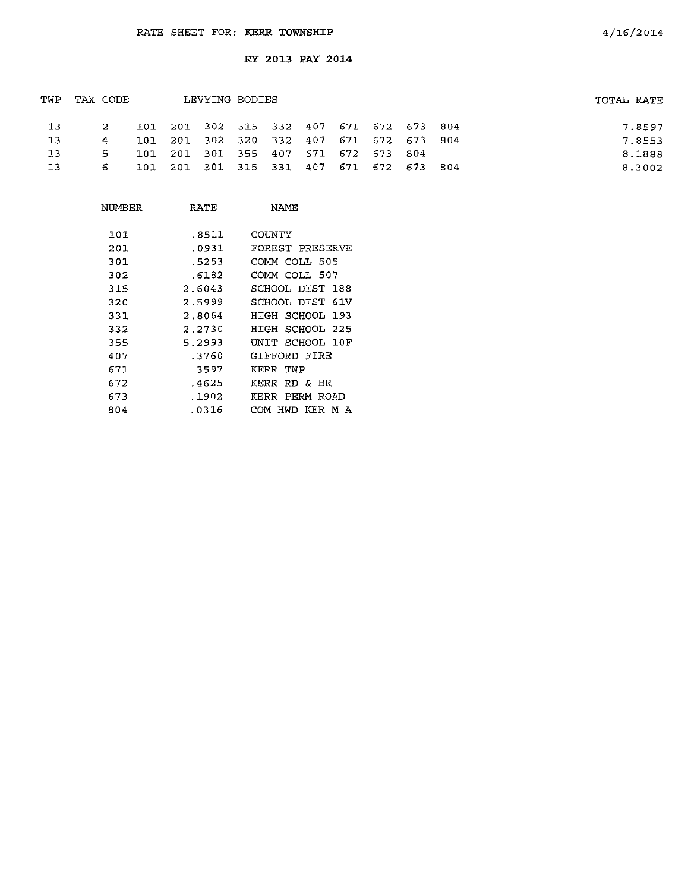| TWP     | LEVYING BODIES<br>TAX CODE |  |                                         |  |  | TOTAL RATE |  |  |        |
|---------|----------------------------|--|-----------------------------------------|--|--|------------|--|--|--------|
| 13      | 2                          |  | 101 201 302 315 332 407 671 672 673 804 |  |  |            |  |  | 7.8597 |
| -13     | 4.                         |  | 101 201 302 320 332 407 671 672 673 804 |  |  |            |  |  | 7.8553 |
| $\pm 3$ | 5.                         |  | 101 201 301 355 407 671 672 673 804     |  |  |            |  |  | 8.1888 |
| -13     | 6.                         |  | 101 201 301 315 331 407 671 672 673 804 |  |  |            |  |  | 8.3002 |

| NUMBER | RATE   | <b>NAME</b>        |
|--------|--------|--------------------|
| 101    | .8511  | COUNTY             |
| 201    | .0931  | FOREST PRESERVE    |
| 301    | . 5253 | COMM COLL 505      |
| 302    | .6182  | COMM COLL 507      |
| 315    | 2.6043 | SCHOOL DIST 188    |
| 320    | 2.5999 | SCHOOL DIST<br>61V |
| 331    | 2.8064 | HIGH SCHOOL<br>193 |
| 332    | 2.2730 | HIGH SCHOOL 225    |
| 355    | 5.2993 | UNIT SCHOOL 10F    |
| 407    | .3760  | GIFFORD FIRE       |
| 671    | .3597  | KERR TWP           |
| 672    | .4625  | KERR<br>RD & BR    |
| 673    | .1902  | PERM ROAD<br>KERR  |
| 804    | .0316  | HWD KER M-A<br>COM |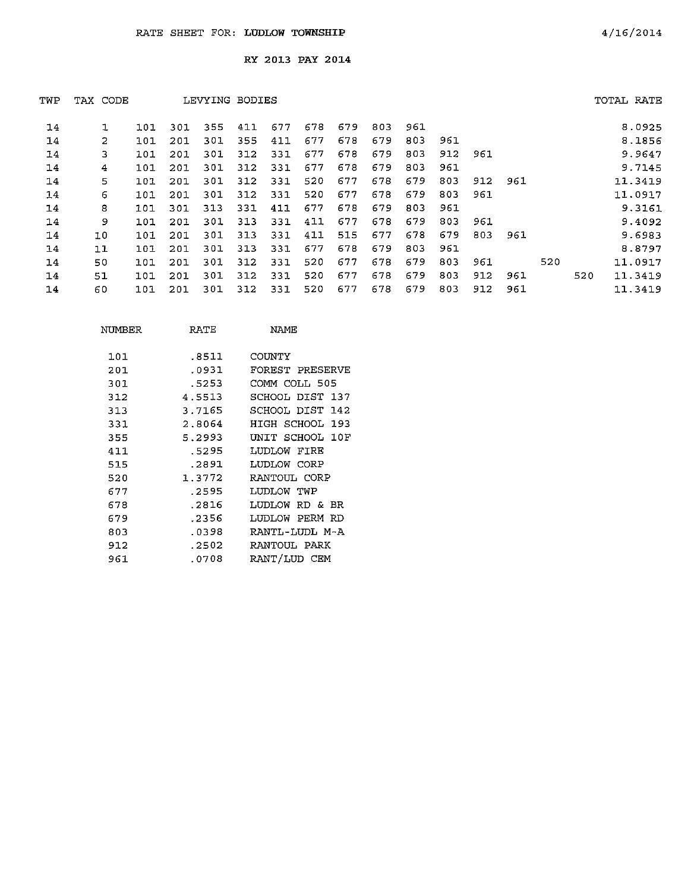|    |     |          |     |     |     |                |     |     |     |     |     |     |     |     | TOTAL RATE |
|----|-----|----------|-----|-----|-----|----------------|-----|-----|-----|-----|-----|-----|-----|-----|------------|
|    | 101 | 301      | 355 | 411 | 677 | 678            | 679 | 803 | 961 |     |     |     |     |     | 8.0925     |
| 2  | 101 | 201      | 301 | 355 | 411 | 677            | 678 | 679 | 803 | 961 |     |     |     |     | 8.1856     |
| 3  | 101 | 201      | 301 | 312 | 331 | 677            | 678 | 679 | 803 | 912 | 961 |     |     |     | 9.9647     |
| 4  | 101 | 201      | 30I | 312 | 331 | 677            | 678 | 679 | 803 | 961 |     |     |     |     | 9.7145     |
| 5  | 101 | 201      | 301 | 312 | 331 | 520            | 677 | 678 | 679 | 803 | 912 | 961 |     |     | 11.3419    |
| 6  | 101 | 201      | 301 | 312 | 331 | 520            | 677 | 678 | 679 | 803 | 961 |     |     |     | 11.0917    |
| 8  | 101 | 301      | 313 | 331 | 411 | 677            | 678 | 679 | 803 | 961 |     |     |     |     | 9.3161     |
| 9. | 101 | 201      | 301 | 313 | 331 | 411            | 677 | 678 | 679 | 803 | 961 |     |     |     | 9.4092     |
| 10 | 101 | 201      | 301 | 313 | 331 | 411            | 515 | 677 | 678 | 679 | 803 | 961 |     |     | 9.6983     |
| 11 | 101 | 201      | 301 | 313 | 331 | 677            | 678 | 679 | 803 | 961 |     |     |     |     | 8.8797     |
| 50 | 101 | 201      | 301 | 312 | 331 | 520            | 677 | 678 | 679 | 803 | 961 |     | 520 |     | 11.0917    |
| 51 | 101 | 201      | 301 | 312 | 331 | 520            | 677 | 678 | 679 | 803 | 912 | 961 |     | 520 | 11.3419    |
| 60 | 101 | 201      | 301 | 312 | 331 | 520            | 677 | 678 | 679 | 803 | 912 | 961 |     |     | 11.3419    |
|    |     | TAX CODE |     |     |     | LEVYING BODIES |     |     |     |     |     |     |     |     |            |

| NUMBER | RATE   | NAME            |
|--------|--------|-----------------|
| 101    | .8511  | COUNTY          |
| 201    | .0931  | FOREST PRESERVE |
| 301    | .5253  | COMM COLL 505   |
| 312    | 4.5513 | SCHOOL DIST 137 |
| 313    | 3.7165 | SCHOOL DIST 142 |
| 331    | 2.8064 | HIGH SCHOOL 193 |
| 355    | 5.2993 | UNIT SCHOOL 10F |
| 411    | .5295  | LUDLOW FIRE     |
| 515    | .2891  | LUDLOW CORP     |
| 520    | 1.3772 | RANTOUL CORP    |
| 677    | .2595  | LUDLOW TWP      |
| 678    | .2816  | LUDLOW RD & BR  |
| 679    | .2356  | LUDLOW PERM RD  |
| 803    | .0398  | RANTL-LUDL M-A  |
| 912    | .2502  | RANTOUL PARK    |
| 961    | .0708  | RANT/LUD CEM    |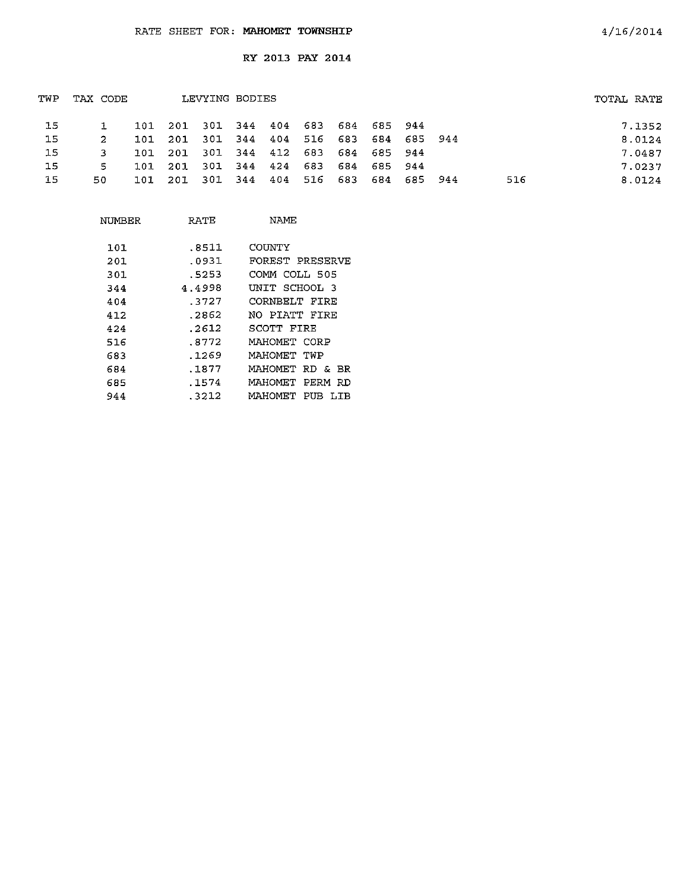| TWP | TAX CODE |                                         | LEVYING BODIES |  |  |                     |  |     | TOTAL RATE |        |
|-----|----------|-----------------------------------------|----------------|--|--|---------------------|--|-----|------------|--------|
| -15 |          | 101 201 301 344 404 683 684 685 944     |                |  |  |                     |  |     |            | 7.1352 |
| 15  | 2        | 101 201 301 344 404 516 683 684 685 944 |                |  |  |                     |  |     |            | 8.0124 |
| 15  | 3        | 101 201 301 344 412 683 684 685 944     |                |  |  |                     |  |     |            | 7.0487 |
| 15  | 5.       | 101 201 301 344 424 683 684 685 944     |                |  |  |                     |  |     |            | 7.0237 |
| -15 | 50.      | 101 201 301 344 404                     |                |  |  | 516 683 684 685 944 |  | 516 |            | 8.0124 |
|     |          |                                         |                |  |  |                     |  |     |            |        |

| NUMBER | RATE   | NAME                          |
|--------|--------|-------------------------------|
| 101    | .8511  | COUNTY                        |
| 201    | .0931  | FOREST PRESERVE               |
| 301    | .5253  | COMM COLL 505                 |
| 344    | 4.4998 | UNIT SCHOOL 3                 |
| 404    | .3727  | CORNBELT FIRE                 |
| 412    | .2862  | NO PIATT FIRE                 |
| 424    | .2612  | SCOTT FIRE                    |
| 516    | .8772  | MAHOMET CORP                  |
| 683    | .1269  | MAHOMET TWP                   |
| 684    | .1877  | MAHOMET RD & BR               |
| 685    | .1574  | MAHOMET<br>PERM RD            |
| 944    | .3212  | <b>MAHOMET</b><br>PUB<br>T.TR |
|        |        |                               |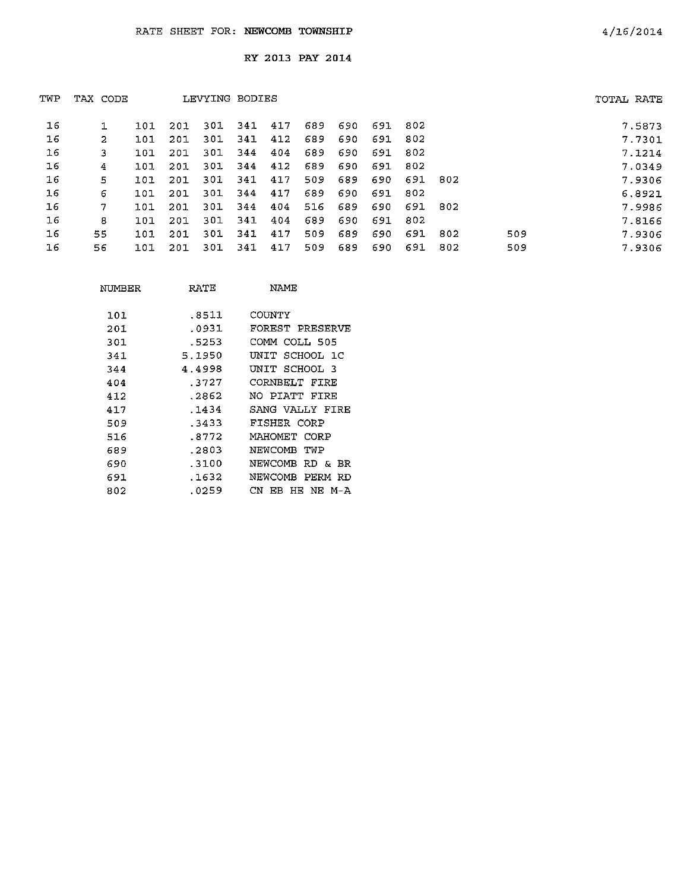| TWP | TAX CODE |     |     | LEVYING BODIES |      |     |     |     |     |      |       |     | TOTAL RATE |
|-----|----------|-----|-----|----------------|------|-----|-----|-----|-----|------|-------|-----|------------|
| 16  |          | 101 | 201 | 301            | -341 | 417 | 689 | 690 | 691 | -802 |       |     | 7.5873     |
| 16  | 2        | 101 | 201 | 301            | 341  | 412 | 689 | 690 | 691 | 802  |       |     | 7.7301     |
| 16  | 3        | 101 | 201 | 301            | 344  | 404 | 689 | 690 | 691 | 802  |       |     | 7.1214     |
| 16  | 4        | 101 | 201 | -301           | -344 | 412 | 689 | 690 | 691 | 802  |       |     | 7.0349     |
| 16  | 5        | 101 | 201 | 301            | 341  | 417 | 509 | 689 | 690 | 691  | 802   |     | 7.9306     |
| 16  | 6        | 101 | 201 | 301            | 344  | 417 | 689 | 690 | 691 | 802  |       |     | 6.8921     |
| 16  | 7        | 101 | 201 | 301            | 344  | 404 | 516 | 689 | 690 | 691  | - 802 |     | 7.9986     |
| 16  | 8        | 101 | 201 | 301            | 341  | 404 | 689 | 690 | 691 | -802 |       |     | 7.8166     |
| 16  | 55.      | 101 | 201 | 301            | 341  | 417 | 509 | 689 | 690 | 691  | 802   | 509 | 7.9306     |
| 16  | 56       | 101 | 201 | 301            | 341  | 417 | 509 | 689 | 690 | 691  | 802   | 509 | 7.9306     |

| NUMBER | RATE   | NAME                       |
|--------|--------|----------------------------|
| 101    | .8511  | COUNTY                     |
| 201    | .0931  | FOREST PRESERVE            |
| 301    | .5253  | COMM COLL 505              |
| 341    | 5.1950 | SCHOOL 1C<br>INIT          |
| 344    | 4.4998 | UNIT SCHOOL 3              |
| 404    | .3727  | CORNBELT FIRE              |
| 412    | .2862  | NO PIATT FIRE              |
| 417    | . 1434 | SANG VALLY FIRE            |
| 509    | .3433  | FISHER CORP                |
| 516    | .8772  | MAHOMET CORP               |
| 689    | .2803  | NEWCOMB<br>TVP             |
| 690    | .3100  | NEWCOMB<br>RD & BR         |
| 691    | .1632  | NEWCOMB<br>PERM RD         |
| 802    | .0259  | CN<br>EB.<br>HE.<br>NF M-A |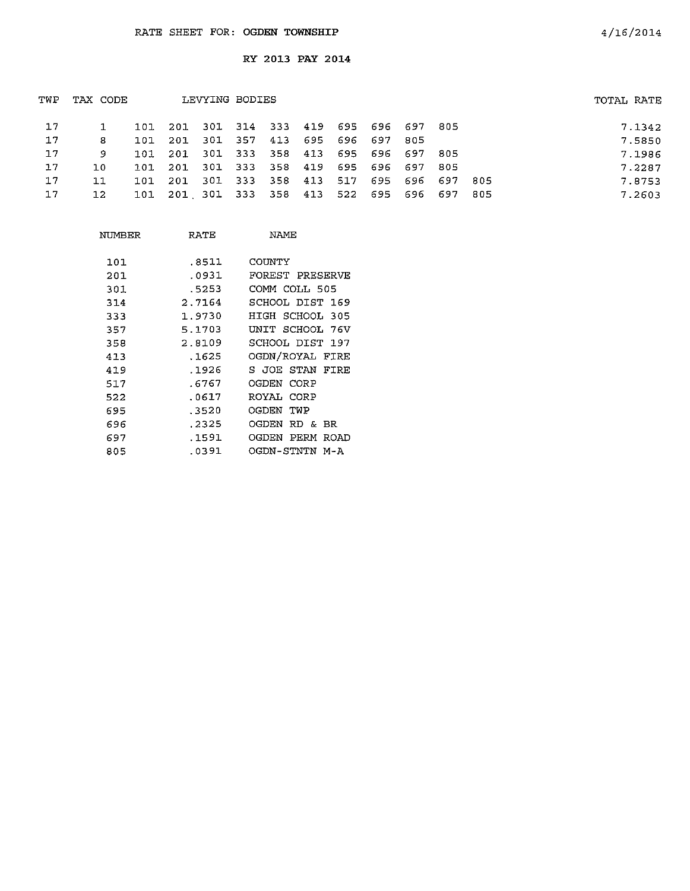| TWP | TAX CODE | LEVYING BODIES |                                             | TOTAL RATE                  |  |  |                 |      |     |  |        |
|-----|----------|----------------|---------------------------------------------|-----------------------------|--|--|-----------------|------|-----|--|--------|
| 17  |          |                | 101 201 301 314 333 419 695 696 697 805     |                             |  |  |                 |      |     |  | 7.1342 |
| 17  | 8        | 101            | 201                                         | 301 357 413 695 696 697 805 |  |  |                 |      |     |  | 7.5850 |
| 17  | 9.       |                | 101 201 301 333 358 413 695 696 697 805     |                             |  |  |                 |      |     |  | 7.1986 |
| 17  | 10.      |                | 101 201 301 333 358 419 695 696 697         |                             |  |  |                 | -805 |     |  | 7.2287 |
| 17  | 11       | 101            | -201                                        | 301 333 358 413             |  |  | 517 695 696 697 |      | 805 |  | 7.8753 |
| 17  | 12       |                | 101 201 301 333 358 413 522 695 696 697 805 |                             |  |  |                 |      |     |  | 7.2603 |
|     |          |                |                                             |                             |  |  |                 |      |     |  |        |

| NUMBER | RATE   | NAME                  |
|--------|--------|-----------------------|
| 101    | .8511  | COUNTY                |
| 201    | .0931  | FOREST PRESERVE       |
| 301    | . 5253 | COMM COLL 505         |
| 314    | 2.7164 | SCHOOL DIST 169       |
| 333    | 1.9730 | HIGH SCHOOL 305       |
| 357    | 5.1703 | UNIT SCHOOL 76V       |
| 358    | 2.8109 | SCHOOL DIST 197       |
| 413    | .1625  | OGDN/ROYAL FIRE       |
| 419    | .1926  | S JOE STAN<br>FIRE    |
| 517    | .6767  | OGDEN CORP            |
| 522    | .0617  | ROYAL CORP            |
| 695    | .3520  | OGDEN TWP             |
| 696    | .2325  | OGDEN<br>RD & BR      |
| 697    | .1591  | OGDEN<br>PERM<br>ROAD |
| 805    | .0391  | OGDN-STNTN M-A        |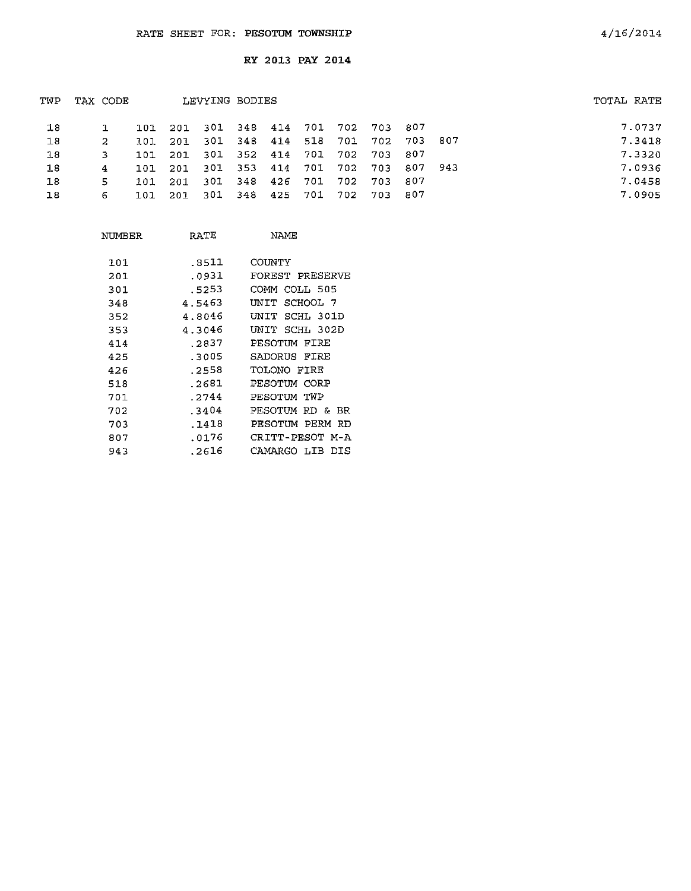| TWP | LEVYING BODIES<br>TAX CODE |  |         |  |  |  | TOTAL RATE                              |  |        |
|-----|----------------------------|--|---------|--|--|--|-----------------------------------------|--|--------|
| 18  |                            |  |         |  |  |  | 101 201 301 348 414 701 702 703 807     |  | 7.0737 |
| Ι8  | 2.                         |  |         |  |  |  | 101 201 301 348 414 518 701 702 703 807 |  | 7.3418 |
| 18  |                            |  |         |  |  |  | 101 201 301 352 414 701 702 703 807     |  | 7.3320 |
| 18  | 4                          |  |         |  |  |  | 101 201 301 353 414 701 702 703 807 943 |  | 7.0936 |
| 18  | -51                        |  | 101 201 |  |  |  | 301 348 426 701 702 703 807             |  | 7.0458 |
| 18  | 6.                         |  | 101 201 |  |  |  | 301 348 425 701 702 703 807             |  | 7.0905 |
|     |                            |  |         |  |  |  |                                         |  |        |

| NUMBER | RATE   | NAME                  |
|--------|--------|-----------------------|
| 101    | .8511  | COUNTY                |
| 201    | .೧931  | FOREST PRESERVE       |
| 301    | .5253  | COMM COLL 505         |
| 348    | 4.5463 | SCHOOL 7<br>UNIT      |
| 352    | 4.8046 | SCHL 301D<br>UNIT     |
| 353    | 4.3046 | UNIT<br>SCHL 302D     |
| 414    | .2837  | PESOTUM FIRE          |
| 425    | -3005  | FTRE<br>SADORUS       |
| 426    | .2558  | TOLONO FIRE           |
| 518    | .2681  | PESOTUM CORP          |
| 701    | .2744  | PESOTUM TWP           |
| 702    | . 3404 | PESOTUM<br>RD &<br>BR |
| 703    | .1418  | PESOTIM PERM RD       |
| 807    | .0176  | CRITT-PESOT M-A       |
| 943    | .2616  | CAMARGO LIB<br>DIS    |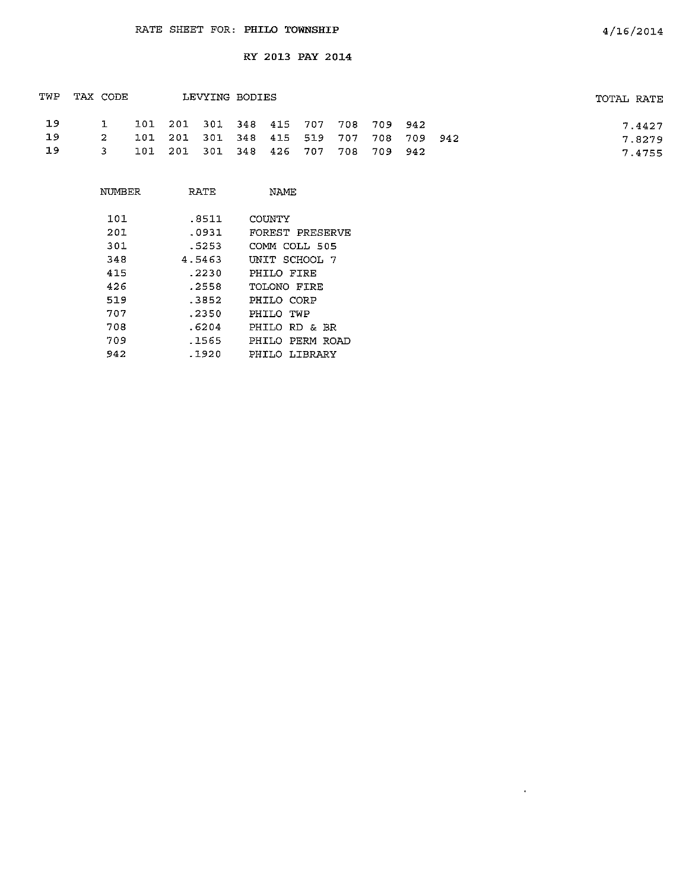| TWP | TAX CODE     |                                         | LEVYING BODIES |  |  |  | TOTAL RATE |
|-----|--------------|-----------------------------------------|----------------|--|--|--|------------|
| 1.9 | $\mathbf{1}$ | 101 201 301 348 415 707 708 709 942     |                |  |  |  | 7.4427     |
| -19 | $\sim$       | 101 201 301 348 415 519 707 708 709 942 |                |  |  |  | 7.8279     |
| -19 | -3.          | 101 201 301 348 426 707 708 709 942     |                |  |  |  | 7.4755     |

| NTMBFR | RATE   | NAME               |
|--------|--------|--------------------|
| 101    | .8511  | COUNTY             |
| 201    | .0931  | FOREST PRESERVE    |
| 301    | .5253  | COMM COLL 505      |
| 348    | 4.5463 | UNIT SCHOOL 7      |
| 415    | .2230  | PHTLO FTRE         |
| 426    | .2558  | TOLONO FIRE        |
| 519    | .3852  | PHILO CORP         |
| 707    | .2350  | PHILO TWP          |
| 708    | .6204  | PHILO RD & BR      |
| 709    | .1565  | PERM ROAD<br>PHILO |
| 942    | .1920  | PHILO LIBRARY      |

 $\sim 40\%$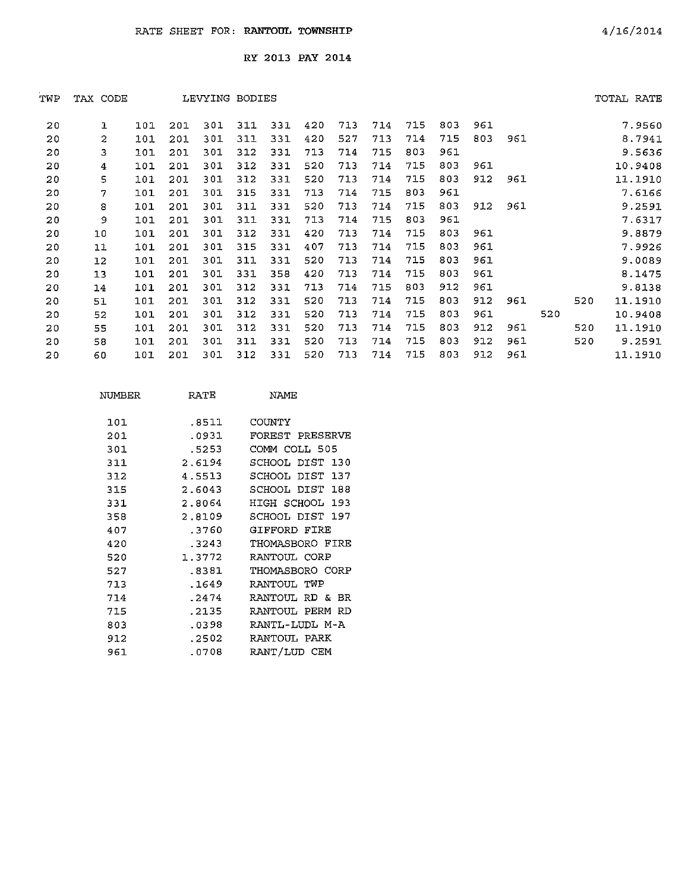|                |     |          |     |     |     |                |     |     |     |     |     |     |     |     | TOTAL RATE |
|----------------|-----|----------|-----|-----|-----|----------------|-----|-----|-----|-----|-----|-----|-----|-----|------------|
| 1              | 101 | 201      | 301 | 311 | 331 | 420            | 713 | 714 | 715 | 803 | 961 |     |     |     | 7.9560     |
| $\overline{2}$ | 101 | 201      | 301 | 311 | 331 | 420            | 527 | 713 | 714 | 715 | 803 | 961 |     |     | 8.7941     |
| 3              | 101 | 201      | 301 | 312 | 331 | 713            | 714 | 715 | 803 | 961 |     |     |     |     | 9.5636     |
| 4              | 101 | 201      | 301 | 312 | 331 | 520            | 713 | 714 | 715 | 803 | 961 |     |     |     | 10.9408    |
| 5              | 101 | 201      | 301 | 312 | 331 | 520            | 713 | 714 | 715 | 803 | 912 | 961 |     |     | 11.1910    |
| 7              | 101 | 201      | 301 | 315 | 331 | 713            | 714 | 715 | 803 | 961 |     |     |     |     | 7.6166     |
| 8              | 101 | 201      | 301 | 311 | 331 | 520            | 713 | 714 | 715 | 803 | 912 | 961 |     |     | 9.2591     |
| 9              | 101 | 201      | 301 | 311 | 331 | 713            | 714 | 715 | 803 | 961 |     |     |     |     | 7.6317     |
| 10             | 101 | 201      | 301 | 312 | 331 | 420            | 713 | 714 | 715 | 803 | 961 |     |     |     | 9.8879     |
| 11             | 101 | 201      | 301 | 315 | 331 | 407            | 713 | 714 | 715 | 803 | 961 |     |     |     | 7.9926     |
| 12             | 101 | 201      | 301 | 311 | 331 | 520            | 713 | 714 | 715 | 803 | 961 |     |     |     | 9.0089     |
| 13             | 101 | 201      | 301 | 331 | 358 | 420            | 713 | 714 | 715 | 803 | 961 |     |     |     | 8.1475     |
| 14             | 101 | 201      | 301 | 312 | 331 | 713            | 714 | 715 | 803 | 912 | 961 |     |     |     | 9.8138     |
| 51             | 101 | 201      | 301 | 312 | 331 | 520            | 713 | 714 | 715 | 803 | 912 | 961 |     | 520 | 11.1910    |
| 52             | 101 | 201      | 301 | 312 | 331 | 520            | 713 | 714 | 715 | 803 | 961 |     | 520 |     | 10.9408    |
| 55             | 101 | 201      | 301 | 312 | 331 | 520            | 713 | 714 | 715 | 803 | 912 | 961 |     | 520 | 11.1910    |
| 58             | 101 | 201      | 301 | 311 | 331 | 520            | 713 | 714 | 715 | 803 | 912 | 961 |     | 520 | 9.2591     |
| 60             | 101 | 201      | 301 | 312 | 331 | 520            | 713 | 714 | 715 | 803 | 912 | 961 |     |     | 11.1910    |
|                |     | TAX CODE |     |     |     | LEVYING BODIES |     |     |     |     |     |     |     |     |            |

| NUMBER | RATE    | NAME            |
|--------|---------|-----------------|
| 101    | .8511   | COUNTY          |
| 201    | .0931   | FOREST PRESERVE |
| 301    | .5253   | COMM COLL 505   |
| 311    | 2.6194  | SCHOOL DIST 130 |
| 312    | 4.5513  | SCHOOL DIST 137 |
| 315    | 2.6043  | SCHOOL DIST 188 |
| 331    | 2.8064  | HIGH SCHOOL 193 |
| 358    | 2.8109  | SCHOOL DIST 197 |
| 407    | .3760   | GIFFORD FIRE    |
| 420    | .3243   | THOMASBORO FIRE |
| 520    | 1.3772  | RANTOUL CORP    |
| 527    | .8381   | THOMASBORO CORP |
| 713    | .1649   | RANTOUL TWP     |
| 714    | $-2474$ | RANTOUL RD & BR |
| 715    | . 2135  | RANTOUL PERM RD |
| 803    | .0398   | RANTL-LUDL M-A  |
| 912    | .2502   | RANTOUL PARK    |
| 961    | .0708   | RANT/LUD CEM    |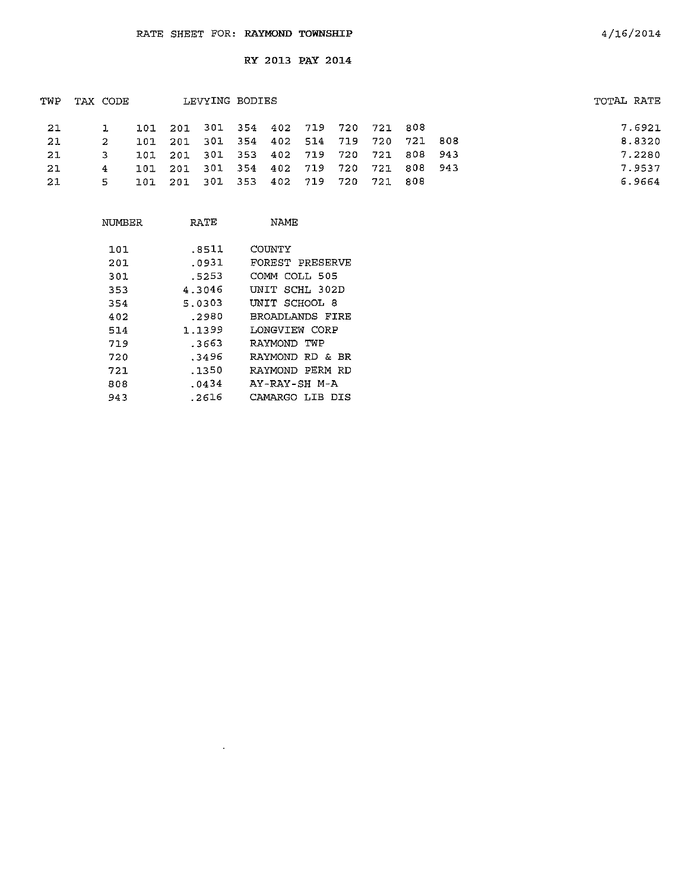| TWP | TAX CODE |       |         | LEVYING BODIES |     |     |                                     |  | TOTAL RATE |
|-----|----------|-------|---------|----------------|-----|-----|-------------------------------------|--|------------|
| -21 |          |       |         |                |     |     | 101 201 301 354 402 719 720 721 808 |  | 7.6921     |
| -21 | 2.       | 101   |         |                |     |     | 201 301 354 402 514 719 720 721 808 |  | 8.8320     |
| -21 | 3.       |       | 101 201 |                |     |     | 301 353 402 719 720 721 808 943     |  | 7.2280     |
| -21 | 4        |       | 101 201 |                |     |     | 301 354 402 719 720 721 808 943     |  | 7.9537     |
| -21 | 5.       | ד מ ד | - 201   | 301 353        | 402 | 719 | 720 721 808                         |  | 6.9664     |

| NUMBER | RATE   | <b>NAME</b>        |
|--------|--------|--------------------|
| 101    | .8511  | COUNTY             |
| 201    | .0931  | FOREST PRESERVE    |
| 301    | .5253  | COMM COLL 505      |
| 353    | 4.3046 | UNIT SCHL 302D     |
| 354    | 5.0303 | UNIT SCHOOL 8      |
| 402    | .2980  | BROADLANDS FIRE    |
| 514    | 1.1399 | LONGVIEW CORP      |
| 719    | .3663  | RAYMOND TWP        |
| 720    | . 3496 | RAYMOND RD & BR    |
| 721    | .1350  | RAYMOND PERM RD    |
| 808    | .0434  | AY-RAY-SH M-A      |
| 943    | .2616  | CAMARGO LIB<br>DIS |

 $\sim$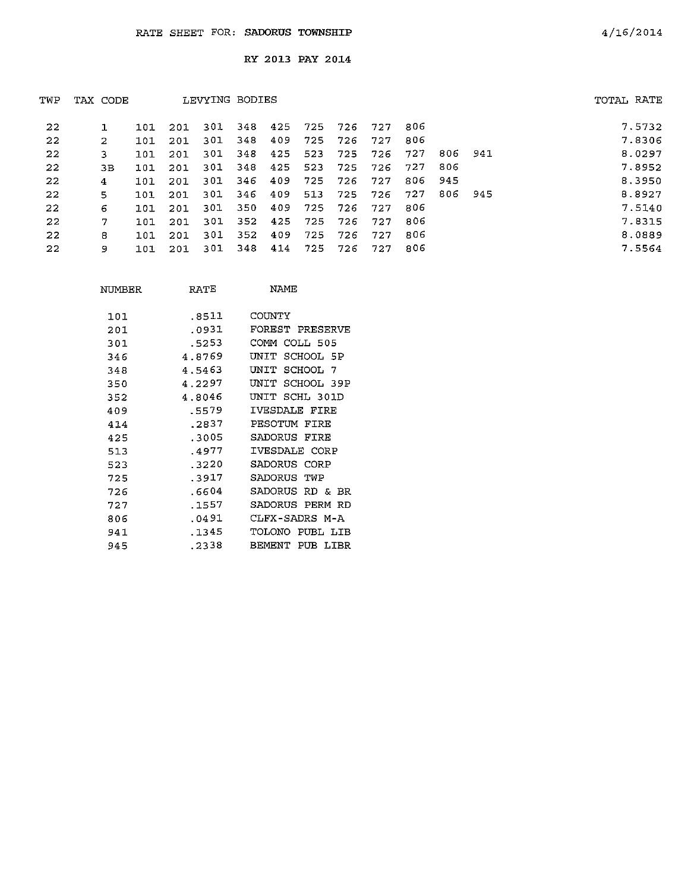| TWP | TAX CODE |     |      | LEVYING BODIES |     |     |      |     |     |      |      |     | TOTAL RATE |
|-----|----------|-----|------|----------------|-----|-----|------|-----|-----|------|------|-----|------------|
| 22  |          | 101 | 201  | 301            | 348 | 425 | -725 | 726 | 727 | 806  |      |     | 7.5732     |
| 22  | 2        | 101 | 201  | 301            | 348 | 409 | 725  | 726 | 727 | 806  |      |     | 7.8306     |
| 22  | 3        | 101 | 201  | 301            | 348 | 425 | 523  | 725 | 726 | -727 | 806  | 941 | 8.0297     |
| 22  | 3В       | 101 | 201  | 301            | 348 | 425 | 523  | 725 | 726 | 727  | 806  |     | 7.8952     |
| 22  | 4        | 101 | 201  | 301            | 346 | 409 | 725  | 726 | 727 | 806  | -945 |     | 8.3950     |
| 22  | 5.       | 101 | 201  | 301            | 346 | 409 | 513  | 725 | 726 | 727  | 806  | 945 | 8.8927     |
| 22  | 6        | 101 | 201  | 301            | 350 | 409 | 725  | 726 | 727 | 806  |      |     | 7.5140     |
| 22  | 7        | 101 | 201  | 301            | 352 | 425 | 725  | 726 | 727 | 806  |      |     | 7.8315     |
| 22  | 8        | 101 | -201 | 301            | 352 | 409 | 725  | 726 | 727 | 806  |      |     | 8.0889     |
| 22  | 9        | 101 | 201  | 301            | 348 | 414 | 725  | 726 | 727 | 806  |      |     | 7.5564     |

| NTIMBER | RATE   | <b>NAME</b>           |
|---------|--------|-----------------------|
| 101     | .8511  | COUNTY                |
| 201     | .0931  | FOREST PRESERVE       |
| 301     | .5253  | COMM COLL 505         |
| 346     | 4.8769 | UNIT<br>SCHOOL 5P     |
| 348     | 4.5463 | SCHOOL<br>UNIT<br>- 7 |
| 350     | 4.2297 | UNIT<br>SCHOOL 39P    |
| 352     | 4.8046 | UNIT SCHL 301D        |
| 409     | 5579   | IVESDALE FIRE         |
| 414     | .2837  | PESOTUM FIRE          |
| 425     | .3005  | SADORUS<br>FTRE       |
| 513     | .4977  | IVESDALE CORP         |
| 523     | .3220  | SADORUS CORP          |
| 725     | .3917  | SADORUS<br>TWP        |
| 726     | .6604  | SADORUS<br>RD & BR    |
| 727     | .1557  | SADORUS PERM RD       |
| 806     | .0491  | CLFX-SADRS M-A        |
| 941     | .1345  | TOLONO<br>PUBL LIB    |
| 945     | .2338  | BEMENT<br>PUB LIBR    |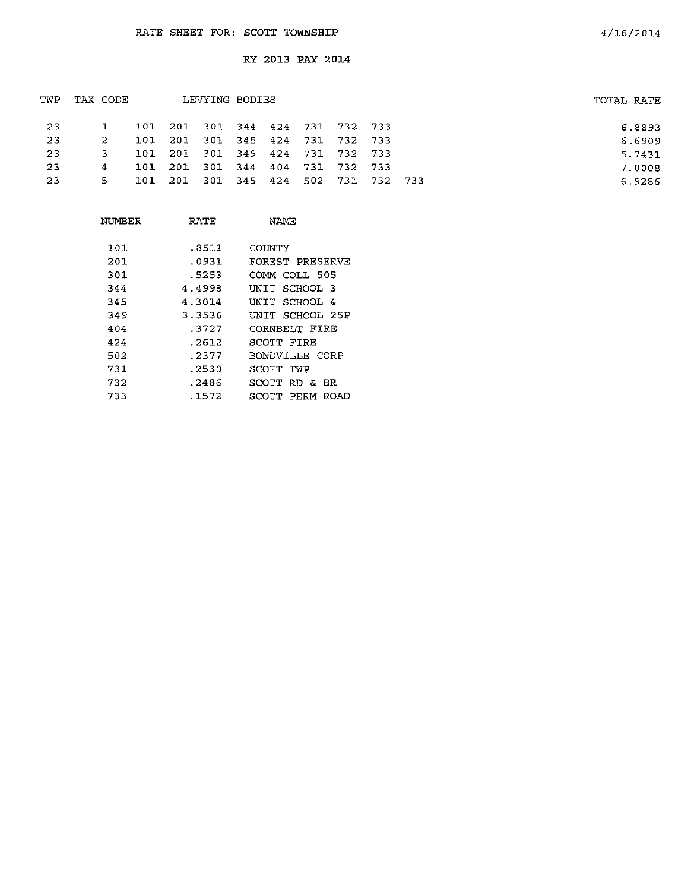| TWP | TAX CODE |    |  | LEVYING BODIES                      |  |  |  | TOTAL RATE |
|-----|----------|----|--|-------------------------------------|--|--|--|------------|
| -23 |          |    |  | 101 201 301 344 424 731 732 733     |  |  |  | 6.8893     |
| -23 |          | 2  |  | 101 201 301 345 424 731 732 733     |  |  |  | 6.6909     |
| -23 |          | 3. |  | 101 201 301 349 424 731 732 733     |  |  |  | 5.7431     |
| -23 | 4        |    |  | 101 201 301 344 404 731 732 733     |  |  |  | 7.0008     |
| -23 |          | 5. |  | 101 201 301 345 424 502 731 732 733 |  |  |  | 6.9286     |
|     |          |    |  |                                     |  |  |  |            |

| NUMBER | RATF   | NAMF                 |
|--------|--------|----------------------|
| 101    | .8511  | COUNTY               |
| 201    | .0931  | FOREST PRESERVE      |
| 301    | .5253  | COMM COLL 505        |
| 344    | 4.4998 | SCHOOL 3<br>יד דות ד |
| 345    | 4 3014 | INIT SCHOOL 4        |
| 349    | 3.3536 | UNIT SCHOOL 25P      |
| 404    | . 3727 | CORNBELT FIRE        |
| 424    | . 2612 | SCOTT FIRE           |
| 502    | .2377  | BONDVILLE CORP       |
| 731    | .2530  | SCOTT TWP            |
| 732    | . 2486 | SCOTT RD & BR        |
| 733    | . 1572 | SCOTT PERM<br>ROAD   |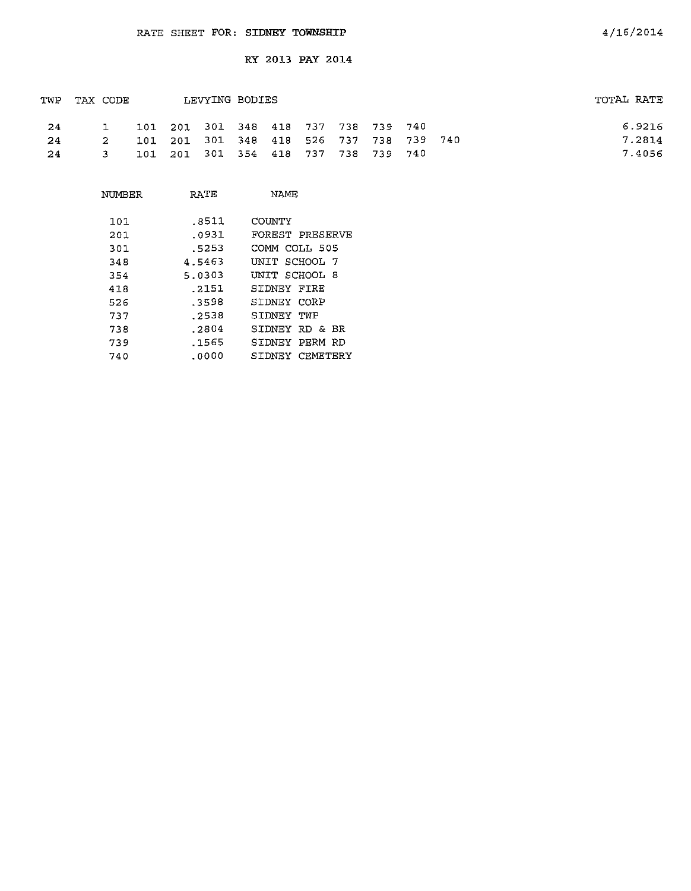| TWP | TAX CODE |               |  | LEVYING BODIES                          |  |  |  | TOTAL RATE |        |
|-----|----------|---------------|--|-----------------------------------------|--|--|--|------------|--------|
| 24  |          |               |  | 101 201 301 348 418 737 738 739 740     |  |  |  |            | 6.9216 |
| 24  |          | $\mathcal{P}$ |  | 101 201 301 348 418 526 737 738 739 740 |  |  |  |            | 7.2814 |
| -24 |          |               |  | 101 201 301 354 418 737 738 739 740     |  |  |  |            | 7.4056 |

| NUMBER | RATE   | NAME                      |
|--------|--------|---------------------------|
| 101    | .8511  | COUNTY                    |
| 201    | .0931  | FOREST PRESERVE           |
| 301    | .5253  | COMM COLL 505             |
| 348    | 4.5463 | UNIT SCHOOL 7             |
| 354    | 5.0303 | UNIT SCHOOL 8             |
| 418    | .2151  | SIDNEY FIRE               |
| 526    | .3598  | SIDNEY CORP               |
| 737    | .2538  | SIDNEY<br>TWP             |
| 738    | .2804  | SIDNEY RD & BR            |
| 739    | . 1565 | PERM<br>STDNEY<br>RD      |
| 740    | .0000  | <b>CEMETERY</b><br>SIDNEY |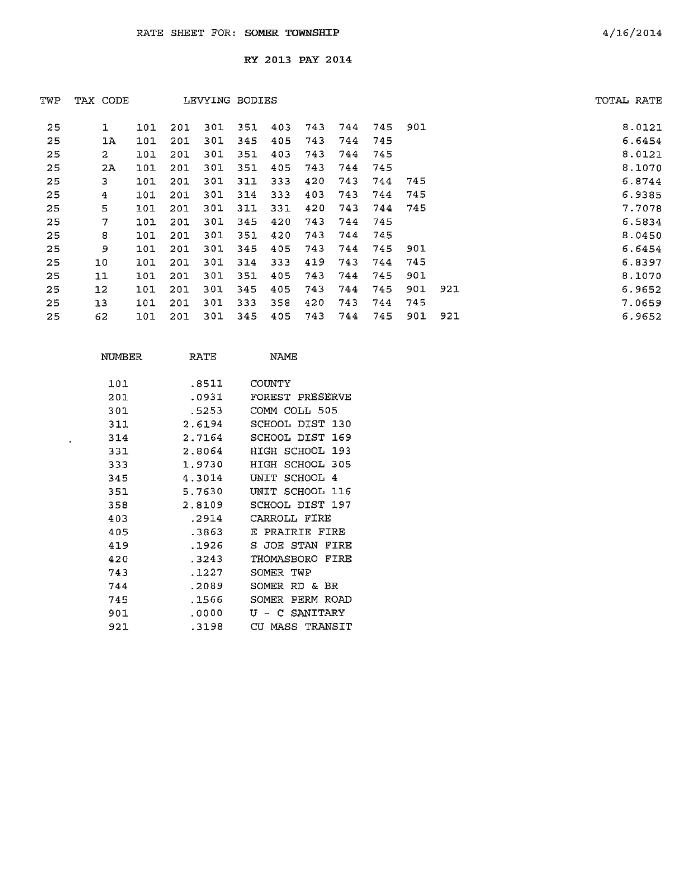| TWP | TAX CODE       |     |     | LEVYING BODIES |     |      |     |     |     |     |     | TOTAL RATE |
|-----|----------------|-----|-----|----------------|-----|------|-----|-----|-----|-----|-----|------------|
| 25  | 1              | 101 | 201 | 301            | 351 | 403  | 743 | 744 | 745 | 901 |     | 8.0121     |
| 25  | 1A             | 101 | 201 | 301            | 345 | 405  | 743 | 744 | 745 |     |     | 6.6454     |
| 25  | $\overline{2}$ | 101 | 201 | 301            | 351 | 403  | 743 | 744 | 745 |     |     | 8.0121     |
| 25  | 2A             | 101 | 201 | 301            | 351 | 405  | 743 | 744 | 745 |     |     | 8.1070     |
| 25  | з              | 101 | 201 | 301            | 311 | 333  | 420 | 743 | 744 | 745 |     | 6.8744     |
| 25  | 4              | 101 | 201 | 301            | 314 | 333. | 403 | 743 | 744 | 745 |     | 6.9385     |
| 25  | 5              | 101 | 201 | 301            | 311 | 331  | 420 | 743 | 744 | 745 |     | 7.7078     |
| 25  | 7              | 101 | 201 | 301            | 345 | 420  | 743 | 744 | 745 |     |     | 6.5834     |
| 25  | 8              | 101 | 201 | 301            | 351 | 420  | 743 | 744 | 745 |     |     | 8.0450     |
| 25  | 9              | 101 | 201 | 301            | 345 | 405  | 743 | 744 | 745 | 901 |     | 6.6454     |
| 25  | 10             | 101 | 201 | 301            | 314 | 333  | 419 | 743 | 744 | 745 |     | 6.8397     |
| 25  | 11             | 101 | 201 | 301            | 351 | 405  | 743 | 744 | 745 | 901 |     | 8.1070     |
| 25  | 12             | 101 | 201 | 301            | 345 | 405  | 743 | 744 | 745 | 901 | 921 | 6.9652     |
| 25  | 13             | 101 | 201 | 301            | 333 | 358  | 420 | 743 | 744 | 745 |     | 7.0659     |
| 25  | 62             | 101 | 201 | 301            | 345 | 405  | 743 | 744 | 745 | 901 | 921 | 6.9652     |

| NIMBER | RATE   | NAME.                         |
|--------|--------|-------------------------------|
| 101    | .8511  | COUNTY                        |
| 201    | .0931  | FOREST PRESERVE               |
| 301    | .5253  | COMM COLL 505                 |
| 311    | 2.6194 | SCHOOL DIST 130               |
| 314    | 2.7164 | SCHOOL DIST<br>169            |
| 331    | 2.8064 | HIGH SCHOOL<br>193            |
| 333    | 1.9730 | SCHOOL<br>305<br>HTGH         |
| 345    | 4.3014 | SCHOOL.<br>ידתתז<br>4         |
| 351    | 5.7630 | <b>SCHOOL</b><br>INTT.<br>116 |
| 358    | 2.8109 | SCHOOL DIST<br>197            |
| 403    | .2914  | CARROLL FIRE                  |
| 405    | .3863  | PRATRIE FIRE<br>E.            |
| 419    | .1926  | JOE STAN<br>FTRE<br>S.        |
| 420    | .3243  | FTRE<br>THOMASBORO            |
| 743    | . 1227 | SOMER TWP                     |
| 744    | -2089  | RD &<br>SOMFR<br>BR           |
| 745    | .1566  | SOMER<br>PERM ROAD            |
| 901    | .0000  | SANITARY<br>ŢΤ<br>C.          |
| 921    | .3198  | CH.<br>MASS TRANSIT           |

 $\sim 10^{-1}$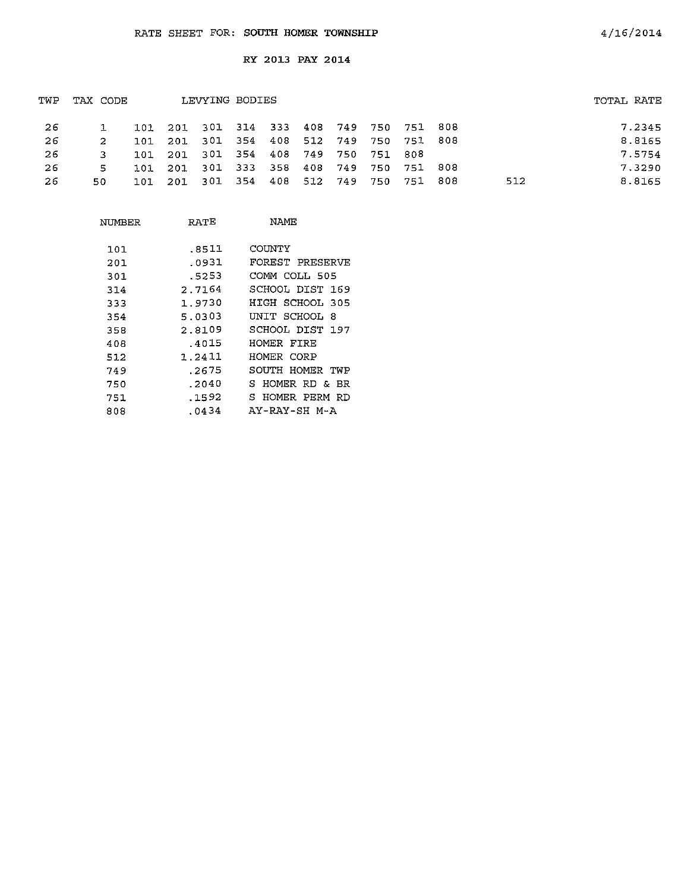| TWP | TAX CODE |      |                                         | LEVYING BODIES      |  |  |         |     |      |     | TOTAL RATE |
|-----|----------|------|-----------------------------------------|---------------------|--|--|---------|-----|------|-----|------------|
| -26 |          |      | 101 201 301 314 333 408 749 750 751 808 |                     |  |  |         |     |      |     | 7.2345     |
| -26 |          |      | 101 201 301 354 408 512 749 750 751 808 |                     |  |  |         |     |      |     | 8.8165     |
| -26 |          |      | 101 201 301 354 408 749 750 751 808     |                     |  |  |         |     |      |     | 7.5754     |
| -26 | 5.       | 101. | 201 301 333 358 408 749 750 751 808     |                     |  |  |         |     |      |     | 7.3290     |
| 26  | 50.      | 101  |                                         | 201 301 354 408 512 |  |  | 749 750 | 751 | -808 | 512 | 8.8165     |

| NUMBER | RATE   | NAME                |
|--------|--------|---------------------|
| 101    | .8511  | COUNTY              |
| 201    | .0931  | FOREST PRESERVE     |
| 301    | .5253  | COMM COLL 505       |
| 314    | 2.7164 | SCHOOL DIST 169     |
| 333    | 1.9730 | HIGH SCHOOL 305     |
| 354    | 5.0303 | UNIT SCHOOL<br>-8   |
| 358    | 2.8109 | SCHOOL DIST 197     |
| 408    | .4015  | HOMER FIRE          |
| 512    | 1.2411 | HOMER CORP          |
| 749    | .2675  | SOUTH HOMER TWP     |
| 750    | .2040  | S.<br>HOMER RD & BR |
| 751    | .1592  | S.<br>HOMER PERM RD |
| 808    | .0434  | AY-RAY-SH M-A       |
|        |        |                     |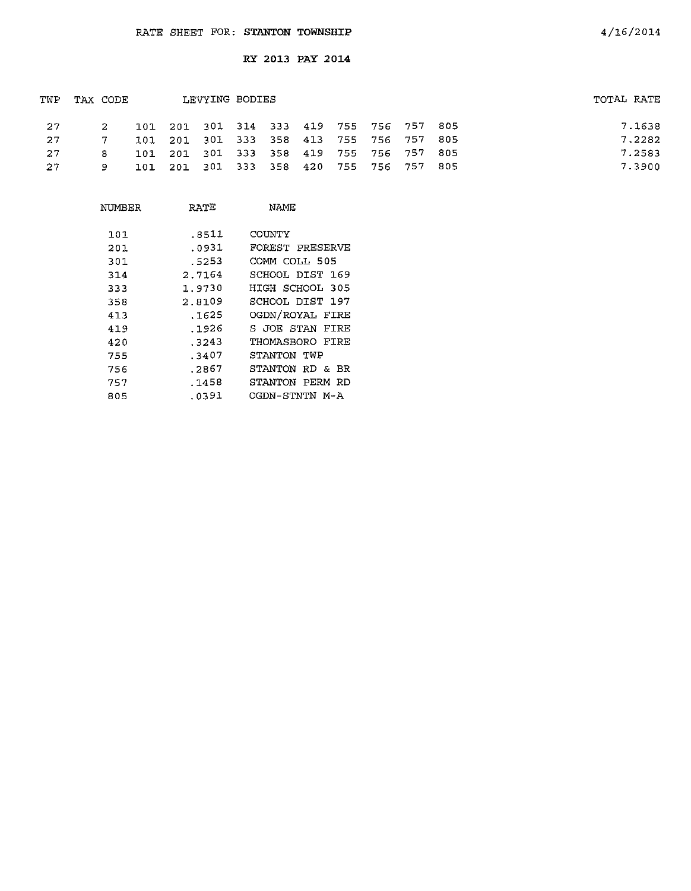| TWP | TAX CODE |  | LEVYING BODIES                          |  |  |  |     | TOTAL RATE |
|-----|----------|--|-----------------------------------------|--|--|--|-----|------------|
| -27 |          |  | 101 201 301 314 333 419 755 756 757 805 |  |  |  |     | 7.1638     |
| -27 |          |  | 101 201 301 333 358 413 755 756 757 805 |  |  |  |     | 7.2282     |
| -27 | я.       |  | 101 201 301 333 358 419 755 756 757 805 |  |  |  |     | 7.2583     |
| -27 |          |  | 101 201 301 333 358 420 755 756 757     |  |  |  | 805 | 7.3900     |

| NUMBER            | RATE                    | NAME                                       |
|-------------------|-------------------------|--------------------------------------------|
| 101<br>201<br>301 | .8511<br>.0931<br>.5253 | COUNTY<br>FOREST PRESERVE<br>COMM COLL 505 |
| 314               | 2.7164                  | SCHOOL DIST 169                            |
| 333               | 1.9730                  | HIGH SCHOOL 305                            |
| 358               | 2.8109                  | SCHOOL DIST 197                            |
| 413               | .1625                   | OGDN/ROYAL FIRE                            |
| 419               | . 1926                  | S JOE STAN<br>FIRE                         |
| 420               | . 3243                  | THOMASBORO FIRE                            |
| 755               | .3407                   | STANTON TWP                                |
| 756               | .2867                   | STANTON RD & BR                            |
| 757               | .1458                   | STANTON<br>PERM<br>RD.                     |
| 805               | .0391                   | OGDN-STNTN M-A                             |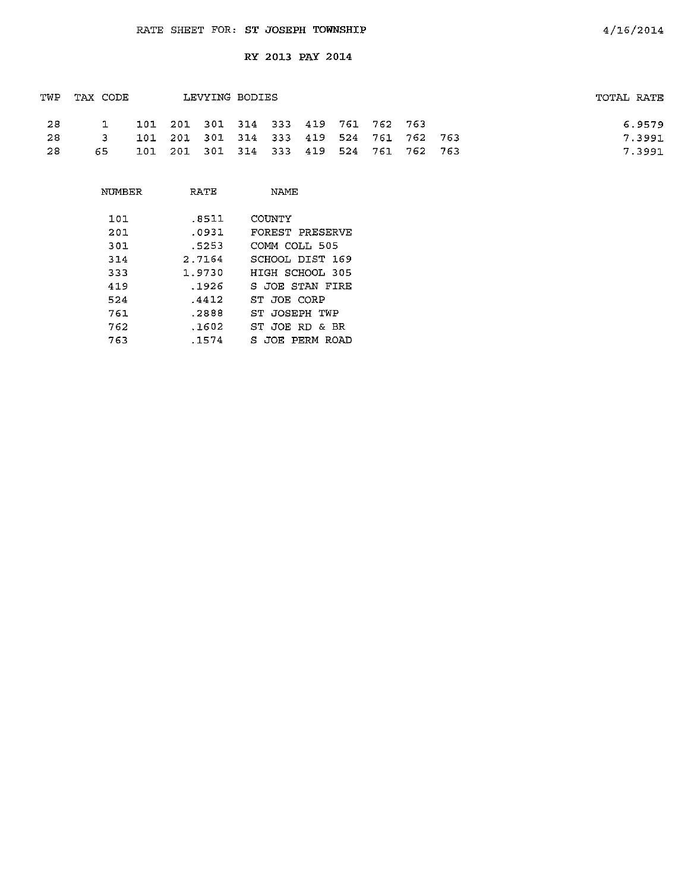|     | TWP TAX CODE |  | LEVYING BODIES                          |  |  |  | TOTAL RATE |
|-----|--------------|--|-----------------------------------------|--|--|--|------------|
| -28 | $\mathbf{1}$ |  | 101 201 301 314 333 419 761 762 763     |  |  |  | 6.9579     |
| -28 | $-3$         |  | 101 201 301 314 333 419 524 761 762 763 |  |  |  | 7.3991     |
| -28 | 65.          |  | 101 201 301 314 333 419 524 761 762 763 |  |  |  | 7.3991     |

| NUMBER | RATE   | NAME            |
|--------|--------|-----------------|
| 101    | .8511  | COUNTY          |
| 201    | .0931  | FOREST PRESERVE |
| 301    | .5253  | COMM COLL 505   |
| 314    | 2.7164 | SCHOOL DIST 169 |
| 333    | 1.9730 | HIGH SCHOOL 305 |
| 419    | .1926  | S JOE STAN FIRE |
| 524    | .4412  | ST JOE CORP     |
| 761    | .2888  | ST JOSEPH TWP   |
| 762    | .1602  | ST JOE RD & BR  |
| 763    | .1574  | S JOE PERM ROAD |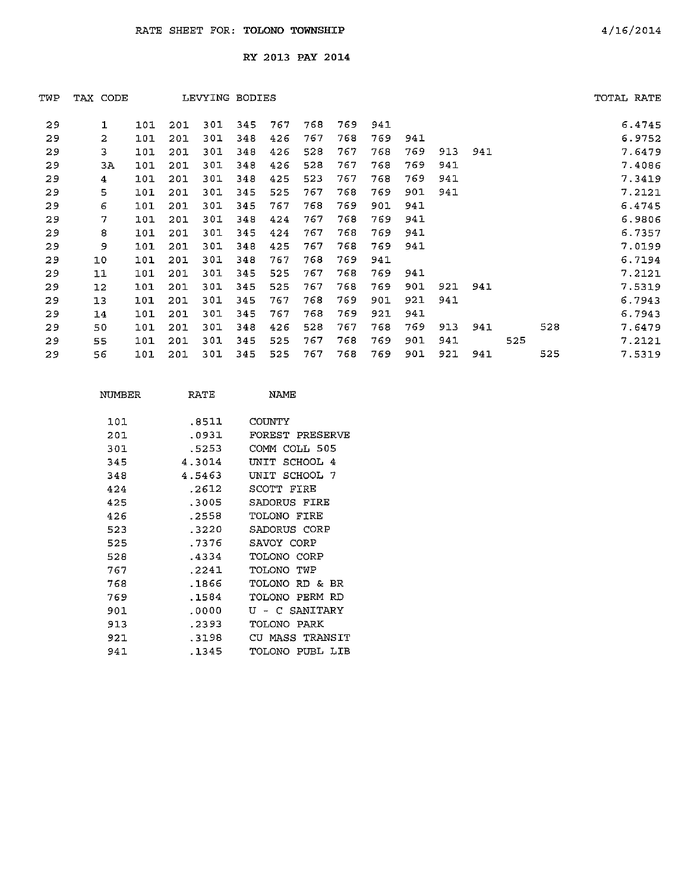| TWP | TAX CODE       |     |     | LEVYING BODIES |      |     |     |     |     |     |     |     |     |     | TOTAL RATE |
|-----|----------------|-----|-----|----------------|------|-----|-----|-----|-----|-----|-----|-----|-----|-----|------------|
| 29  | ı              | 101 | 201 | 301            | 345. | 767 | 768 | 769 | 941 |     |     |     |     |     | 6.4745     |
| 29  | $\overline{2}$ | 101 | 201 | 301            | 348  | 426 | 767 | 768 | 769 | 941 |     |     |     |     | 6.9752     |
| 29  | 3              | 101 | 201 | 301            | 348  | 426 | 528 | 767 | 768 | 769 | 913 | 941 |     |     | 7.6479     |
| 29  | ЗA             | 101 | 201 | 301            | 348  | 426 | 528 | 767 | 768 | 769 | 941 |     |     |     | 7.4086     |
| 29  | 4              | 101 | 201 | 301            | 348  | 425 | 523 | 767 | 768 | 769 | 941 |     |     |     | 7.3419     |
| 29  | 5              | 101 | 201 | 301            | 345  | 525 | 767 | 768 | 769 | 901 | 941 |     |     |     | 7.2121     |
| 29  | 6              | 101 | 201 | 301            | 345  | 767 | 768 | 769 | 901 | 941 |     |     |     |     | 6.4745     |
| 29  | 7              | 101 | 201 | 301            | 348  | 424 | 767 | 768 | 769 | 941 |     |     |     |     | 6.9806     |
| 29  | 8              | 101 | 201 | 301            | 345  | 424 | 767 | 768 | 769 | 941 |     |     |     |     | 6.7357     |
| 29  | 9              | 101 | 201 | 301            | 348  | 425 | 767 | 768 | 769 | 941 |     |     |     |     | 7.0199     |
| 29  | 10             | 101 | 201 | 301            | 348  | 767 | 768 | 769 | 941 |     |     |     |     |     | 6.7194     |
| 29  | 11             | 101 | 201 | 301            | 345  | 525 | 767 | 768 | 769 | 941 |     |     |     |     | 7.2121     |
| 29  | 12             | 101 | 201 | 301            | 345  | 525 | 767 | 768 | 769 | 901 | 921 | 941 |     |     | 7.5319     |
| 29  | 13             | 101 | 201 | 301            | 345  | 767 | 768 | 769 | 901 | 921 | 941 |     |     |     | 6.7943     |
| 29  | 14             | 101 | 201 | 301            | 345  | 767 | 768 | 769 | 921 | 941 |     |     |     |     | 6.7943     |
| 29  | 50             | 101 | 201 | 301            | 348  | 426 | 528 | 767 | 768 | 769 | 913 | 941 |     | 528 | 7.6479     |
| 29  | 55             | 101 | 201 | 301            | 345  | 525 | 767 | 768 | 769 | 901 | 941 |     | 525 |     | 7.2121     |
| 29  | 56             | 101 | 201 | 301            | 345  | 525 | 767 | 768 | 769 | 901 | 921 | 941 |     | 525 | 7.5319     |

| NIMBER | RATE   | NAME                     |
|--------|--------|--------------------------|
| 101    | .8511  | COUNTY                   |
| 201    | .0931  | FOREST PRESERVE          |
| 301    | .5253  | COMM COLL 505            |
| 345    | 4.3014 | SCHOOL 4<br>דדותז        |
| 348    | 4.5463 | UNIT SCHOOL 7            |
| 424    | .2612  | SCOTT FIRE               |
| 425    | .3005  | SADORUS FIRE             |
| 426    | .2558  | TOLONO FIRE              |
| 523    | .3220  | SADORUS CORP             |
| 525    | .7376  | SAVOY CORP               |
| 528    | -4334  | TOLONO CORP              |
| 767    | .2241  | OIO TOT<br>TWP           |
| 768    | .1866  | TOLONO RD &<br><b>BR</b> |
| 769    | .1584  | TOLONO PERM RD           |
| 901    | . 0000 | U - C SANITARY           |
| 913    | . 2393 | TOLONO PARK              |
| 921    | - 3198 | CU MASS TRANSIT          |
| 941    | .1345  | TOLONO PUBL LIB          |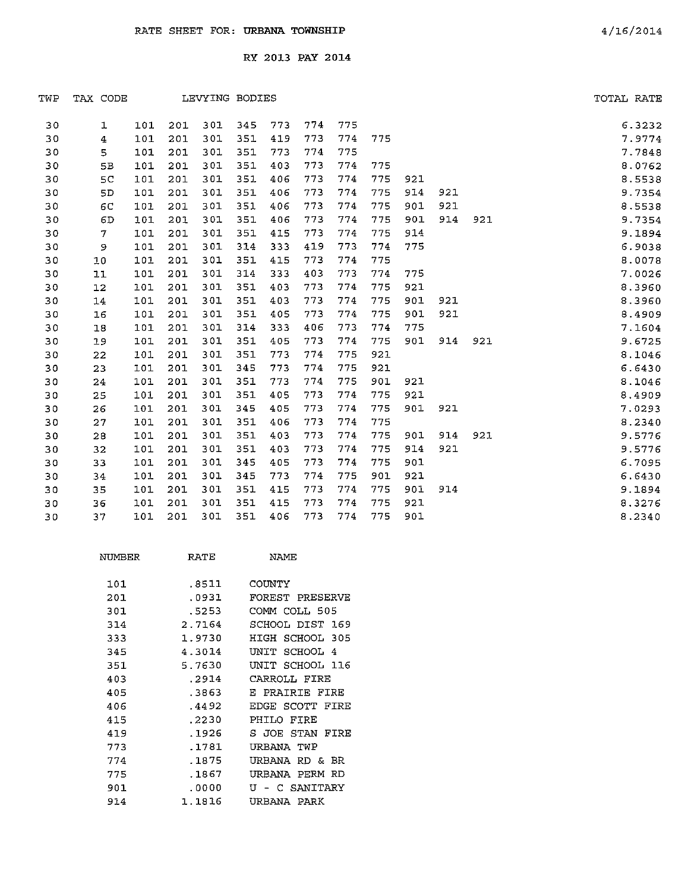| TWP | TAX CODE       |     |     | LEVYING BODIES |     |     |     |     |     |     |     |     | TOTAL RATE |        |
|-----|----------------|-----|-----|----------------|-----|-----|-----|-----|-----|-----|-----|-----|------------|--------|
| 30  | ı              | 101 | 201 | 301            | 345 | 773 | 774 | 775 |     |     |     |     |            | 6.3232 |
| 30  | $\overline{4}$ | 101 | 201 | 301            | 351 | 419 | 773 | 774 | 775 |     |     |     |            | 7.9774 |
| 30  | 5              | 101 | 201 | 301            | 351 | 773 | 774 | 775 |     |     |     |     |            | 7.7848 |
| 30  | 5B             | 101 | 201 | 301            | 351 | 403 | 773 | 774 | 775 |     |     |     |            | 8.0762 |
| 30  | 5C             | 101 | 201 | 301            | 351 | 406 | 773 | 774 | 775 | 921 |     |     |            | 8.5538 |
| 30  | 5D             | 101 | 201 | 301            | 351 | 406 | 773 | 774 | 775 | 914 | 921 |     |            | 9.7354 |
| 30  | 6C             | 101 | 201 | 301            | 351 | 406 | 773 | 774 | 775 | 901 | 921 |     |            | 8.5538 |
| 30  | 6D             | 101 | 201 | 301            | 351 | 406 | 773 | 774 | 775 | 901 | 914 | 921 |            | 9.7354 |
| 30  | $\tau$         | 101 | 201 | 301            | 351 | 415 | 773 | 774 | 775 | 914 |     |     |            | 9.1894 |
| 30  | 9              | 101 | 201 | 301            | 314 | 333 | 419 | 773 | 774 | 775 |     |     |            | 6.9038 |
| 30  | 10             | 101 | 201 | 301            | 351 | 415 | 773 | 774 | 775 |     |     |     |            | 8.0078 |
| 30  | 11             | 101 | 201 | 301            | 314 | 333 | 403 | 773 | 774 | 775 |     |     |            | 7.0026 |
| 30  | 12             | 101 | 201 | 301            | 351 | 403 | 773 | 774 | 775 | 921 |     |     |            | 8.3960 |
| 30  | 14             | 101 | 201 | 301            | 351 | 403 | 773 | 774 | 775 | 901 | 921 |     |            | 8.3960 |
| 30  | 16             | 101 | 201 | 301            | 351 | 405 | 773 | 774 | 775 | 901 | 921 |     |            | 8.4909 |
| 30  | 18             | 101 | 201 | 301            | 314 | 333 | 406 | 773 | 774 | 775 |     |     |            | 7.1604 |
| 30  | 19             | 101 | 201 | 301            | 351 | 405 | 773 | 774 | 775 | 901 | 914 | 921 |            | 9.6725 |
| 30  | 22             | 101 | 201 | 301            | 351 | 773 | 774 | 775 | 921 |     |     |     |            | 8.1046 |
| 30  | 23             | 101 | 201 | 301            | 345 | 773 | 774 | 775 | 921 |     |     |     |            | 6.6430 |
| 30  | 24             | 101 | 201 | 301            | 351 | 773 | 774 | 775 | 901 | 921 |     |     |            | 8.1046 |
| 30  | 25             | 101 | 201 | 301            | 351 | 405 | 773 | 774 | 775 | 921 |     |     |            | 8.4909 |
| 30  | 26             | 101 | 201 | 301            | 345 | 405 | 773 | 774 | 775 | 901 | 921 |     |            | 7.0293 |
| 30  | 27             | 101 | 201 | 301            | 351 | 406 | 773 | 774 | 775 |     |     |     |            | 8.2340 |
| 30  | 28             | 101 | 201 | 301            | 351 | 403 | 773 | 774 | 775 | 901 | 914 | 921 |            | 9.5776 |
| 30  | 32             | 101 | 201 | 301            | 351 | 403 | 773 | 774 | 775 | 914 | 921 |     |            | 9.5776 |
| 30  | 33             | 101 | 201 | 301            | 345 | 405 | 773 | 774 | 775 | 901 |     |     |            | 6.7095 |
| 30  | 34             | 101 | 201 | 301            | 345 | 773 | 774 | 775 | 901 | 921 |     |     |            | 6.6430 |
| 30  | 35             | 101 | 201 | 301            | 351 | 415 | 773 | 774 | 775 | 901 | 914 |     |            | 9.1894 |
| 30  | 36             | 101 | 201 | 301            | 351 | 415 | 773 | 774 | 775 | 921 |     |     |            | 8.3276 |
| 30  | 37             | 101 | 201 | 301            | 351 | 406 | 773 | 774 | 775 | 901 |     |     |            | 8.2340 |

| NUMBER | RATE   | NAME               |
|--------|--------|--------------------|
| 101    | .8511  | COUNTY             |
| 201    | .0931  | FOREST PRESERVE    |
| 301    | .5253  | COMM COLL 505      |
| 314    | 2.7164 | SCHOOL DIST 169    |
| 333    | 1.9730 | HIGH SCHOOL 305    |
| 345    | 4.3014 | UNIT SCHOOL 4      |
| 351    | 5.7630 | UNIT SCHOOL 116    |
| 403    | .2914  | CARROLL FIRE       |
| 405    | .3863  | E PRAIRIE FIRE     |
| 406    | .4492  | EDGE SCOTT FIRE    |
| 415    | .2230  | PHILO FIRE         |
| 419    | .1926  | S JOE STAN FIRE    |
| 773    | .1781  | URBANA TWP         |
| 774    | .1875  | URBANA RD &<br>BR. |
| 775    | .1867  | URBANA PERM RD     |
| 901    | .0000  | U - C SANITARY     |
| 914    | 1.1816 | URBANA PARK        |
|        |        |                    |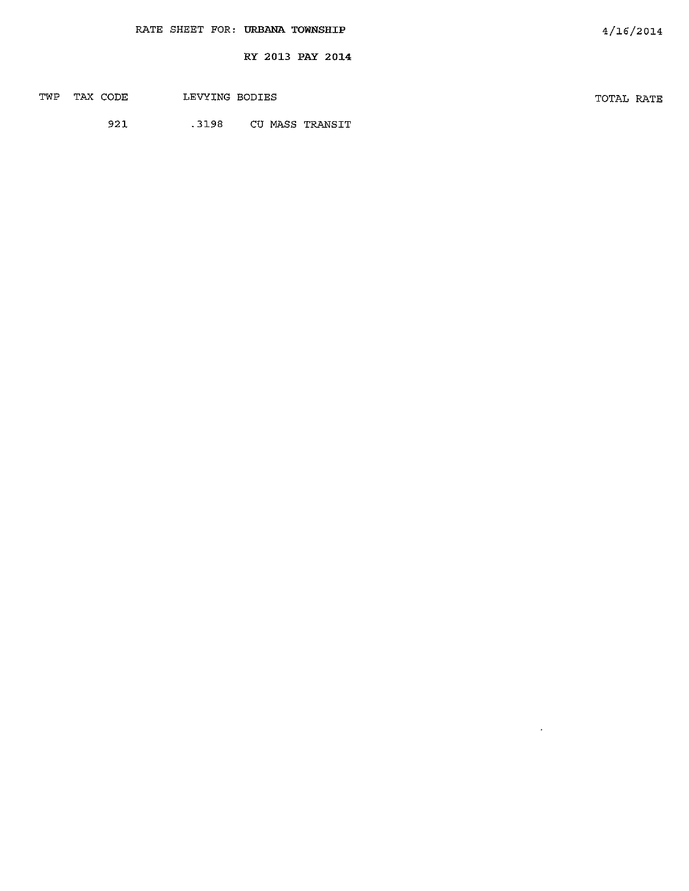| TWP | TAX CODE | LEVYING BODIES | TOTAL RATE |  |
|-----|----------|----------------|------------|--|
|     |          |                |            |  |

 $\sim 10^{-10}$ 

921 .3198 CU MASS TRANSIT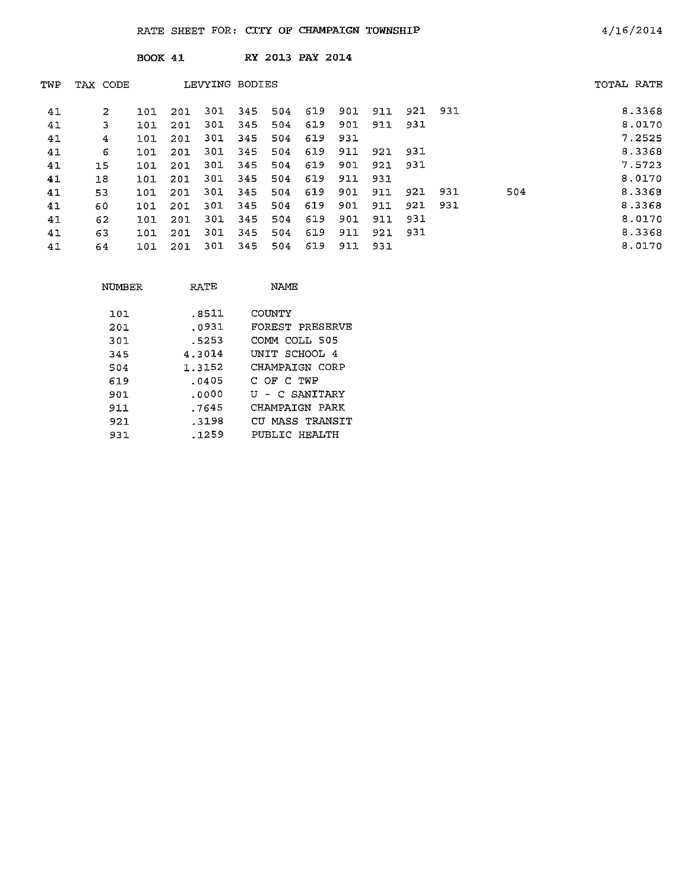|     |          | BOOK 41 |     |                |     |     | RY 2013 PAY 2014 |     |     |      |         |     |            |
|-----|----------|---------|-----|----------------|-----|-----|------------------|-----|-----|------|---------|-----|------------|
| TWP | TAX CODE |         |     | LEVYING BODIES |     |     |                  |     |     |      |         |     | TOTAL RATE |
| 41  | 2        | 101     | 201 | 301            | 345 | 504 | 619              | 901 | 911 |      | 921 931 |     | 8.3368     |
| 41  | 3        | 101     | 201 | 301            | 345 | 504 | 619              | 901 | 911 | 931  |         |     | 8.0170     |
| 41  | 4        | 101     | 201 | 301            | 345 | 504 | 619              | 931 |     |      |         |     | 7.2525     |
| 41  | 6        | 101     | 201 | 301            | 345 | 504 | 619              | 911 | 921 | 931  |         |     | 8.3368     |
| 41  | 15       | 101     | 201 | 301            | 345 | 504 | 619              | 901 | 921 | -931 |         |     | 7.5723     |
| 41  | 18       | 101     | 201 | 301            | 345 | 504 | 619              | 911 | 931 |      |         |     | 8.0170     |
| 41  | 53       | 101     | 201 | 301            | 345 | 504 | 619              | 901 | 911 | 921  | 931     | 504 | 8.3368     |
| 41  | 60       | 101     | 201 | 301            | 345 | 504 | 619              | 901 | 911 | 921  | 931     |     | 8.3368     |
| 41  | 62       | 101     | 201 | 301            | 345 | 504 | 619              | 901 | 911 | 931  |         |     | 8.0170     |
| 41  | 63       | 101     | 201 | 301            | 345 | 504 | 619              | 911 | 921 | 931  |         |     | 8.3368     |
| 41  | 64       | 101     | 201 | 301            | 345 | 504 | 619              | 911 | 931 |      |         |     | 8.0170     |

| NUMBER | RATE   | NAME            |
|--------|--------|-----------------|
| 101    | .8511  | COUNTY          |
| 201    | .o931  | FOREST PRESERVE |
| 301    | -5253  | COMM COLL 505   |
| 345    | 4.3014 | UNIT SCHOOL 4   |
| 504    | 1.3152 | CHAMPATGN CORP  |
| 619    | .0405  | с ог с тир      |
| 901    | .0000  | U - C SANITARY  |
| 911    | . 7645 | CHAMPAIGN PARK  |
| 921    | -3198  | CU MASS TRANSIT |
| 931    | . 1259 | PUBLIC HEALTH   |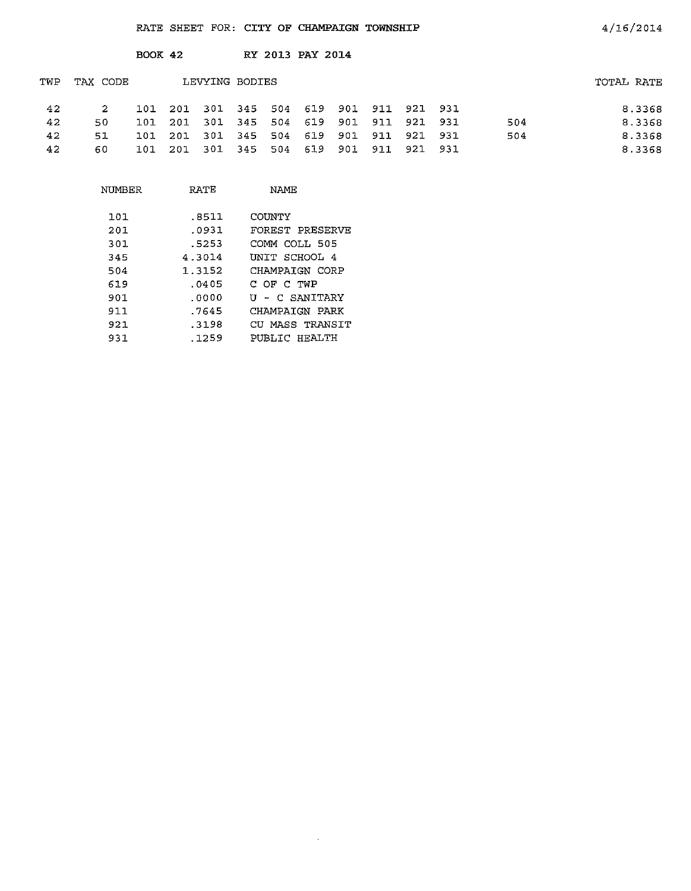|     |          | $BOOK$ 42   |      |                |             |     | RY 2013 PAY 2014                |     |     |         |     |            |
|-----|----------|-------------|------|----------------|-------------|-----|---------------------------------|-----|-----|---------|-----|------------|
| TWP | TAX CODE |             |      | LEVYING BODIES |             |     |                                 |     |     |         |     | TOTAL RATE |
| 42  | 2        | $101 - 201$ |      |                |             |     | 301 345 504 619 901 911 921 931 |     |     |         |     | 8.3368     |
| 42  | 50       | 101         | 201  |                | 301 345     | 504 | 619 901                         |     | 911 | 921 931 | 504 | 8.3368     |
| 42  | 51       | 101         | -201 | 301            | 345 504     |     | 619                             | 901 | 911 | 921 931 | 504 | 8.3368     |
| 42  | 60       | 101         | 201  |                | 301 345 504 |     | 619                             | 901 | 911 | 921 931 |     | 8.3368     |

 $\sim$   $\sim$ 

4/16/2014

| RATE   | NAME             |
|--------|------------------|
|        |                  |
|        | COUNTY           |
| .0931  | FOREST PRESERVE  |
| .5253  | COMM COLI 505    |
| 4.3014 | UNIT SCHOOL 4    |
| 1.3152 | CHAMPAIGN CORP   |
| . 0405 | C OF C TWP       |
| .0000  | U - C SANITARY   |
| .7645  | CHAMPAIGN PARK   |
| .3198  | CII MASS TRANSTT |
| .1259  | PUBLIC HRALTH    |
|        | .8511            |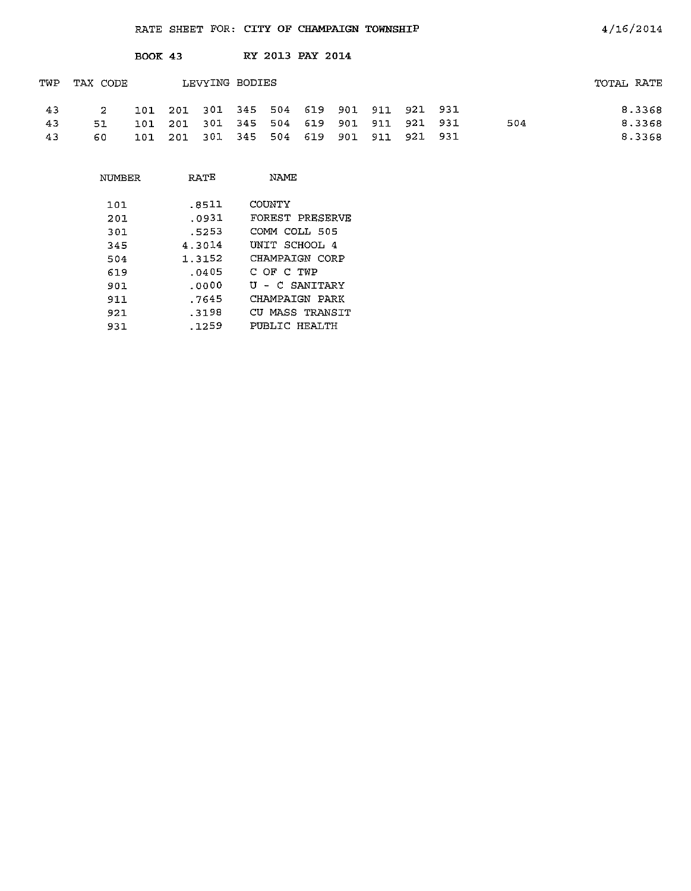|     |             | <b>BOOK 43</b> |     |                 | RY 2013 PAY 2014 |                                         |  |     |            |
|-----|-------------|----------------|-----|-----------------|------------------|-----------------------------------------|--|-----|------------|
| TWP | TAX CODE    |                |     | LEVYING BODIES  |                  |                                         |  |     | TOTAL RATE |
| 43  | $2^{\circ}$ |                |     |                 |                  | 101 201 301 345 504 619 901 911 921 931 |  |     | 8.3368     |
| 43  | 51          | 101            | 201 | 301 345 504 619 |                  | 901 911 921 931                         |  | 504 | 8.3368     |
| 43  | 60          | 101            | 201 | 301 345 504 619 |                  | 901 911 921 931                         |  |     | 8.3368     |

| NUMBER | RATE   | <b>NAME</b>     |
|--------|--------|-----------------|
|        |        |                 |
| 101    | .8511  | COUNTY          |
| 201    | .0931  | FOREST PRESERVE |
| 301    | .5253  | COMM COLL 505   |
| 345    | 4.3014 | UNIT SCHOOL 4   |
| 504    | 1.3152 | CHAMPAIGN CORP  |
| 619    | .0405  | C OF C TWP      |
| 901    | .0000  | U - C SANTTARY  |
| 911    | .7645  | CHAMPAIGN PARK  |
| 921    | .3198  | CU MASS TRANSIT |
| 931    | . 1259 | PUBLIC HEALTH   |
|        |        |                 |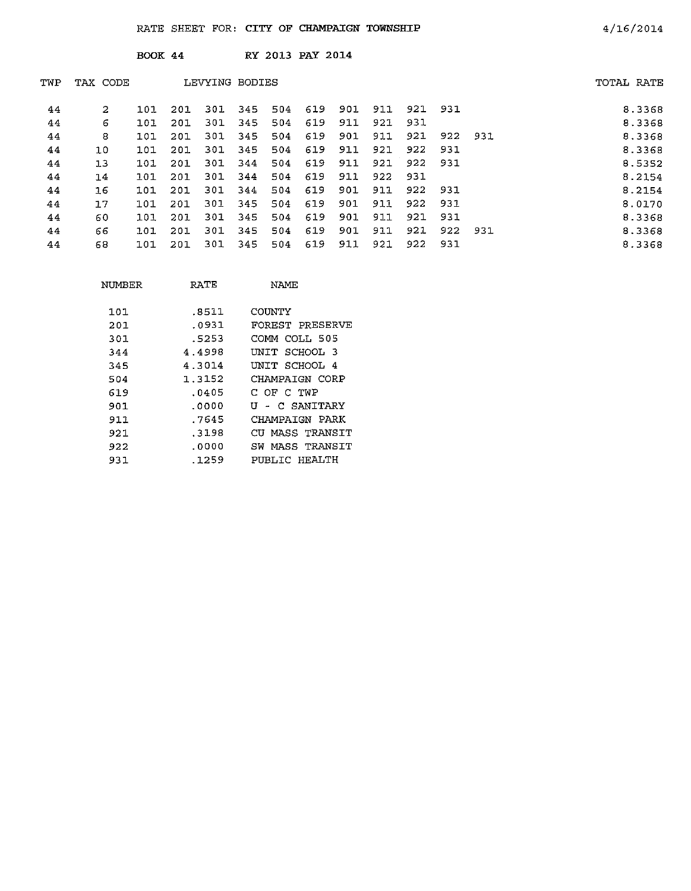|     |          | BOOK 44    |     |                |     |     | RY 2013 PAY 2014 |     |     |     |     |     |            |
|-----|----------|------------|-----|----------------|-----|-----|------------------|-----|-----|-----|-----|-----|------------|
| TWP | TAX CODE |            |     | LEVYING BODIES |     |     |                  |     |     |     |     |     | TOTAL RATE |
| 44  | 2        | 101        | 201 | 301            | 345 | 504 | 619              | 901 | 911 | 921 | 931 |     | 8.3368     |
| 44  | 6        | 101        | 201 | 301            | 345 | 504 | 619              | 911 | 921 | 931 |     |     | 8.3368     |
| 44  | 8        | 101        | 201 | 301            | 345 | 504 | 619              | 901 | 911 | 921 | 922 | 931 | 8.3368     |
| 44  | 10       | 101        | 201 | 301            | 345 | 504 | 619              | 911 | 921 | 922 | 931 |     | 8.3368     |
| 44  | 13       | 101        | 201 | 301            | 344 | 504 | 619              | 911 | 921 | 922 | 931 |     | 8.5352     |
| 44  | 14       | 101        | 201 | 301            | 344 | 504 | 619              | 911 | 922 | 931 |     |     | 8.2154     |
| 44  | 16       | <b>T0T</b> | 201 | 301            | 344 | 504 | 619              | 901 | 911 | 922 | 931 |     | 8.2154     |
| 44  | 17       | 101        | 201 | 301            | 345 | 504 | 619              | 901 | 911 | 922 | 931 |     | 8.0170     |
| 44  | 60       | 101        | 201 | 301            | 345 | 504 | 619              | 901 | 911 | 921 | 931 |     | 8.3368     |
| 44  | 66       | 101        | 201 | 301            | 345 | 504 | 619              | 901 | 911 | 921 | 922 | 931 | 8.3368     |
| 44  | 68       | 101        | 201 | 301            | 345 | 504 | 619              | 911 | 921 | 922 | 931 |     | 8.3368     |

| NUMBER | RATE   | NAME               |
|--------|--------|--------------------|
| 101    | .8511  | COUNTY             |
| 201    | .೧931  | FOREST PRESERVE    |
| 301    | .5253  | COMM COLL 505      |
| 344    | 4.4998 | UNIT SCHOOL 3      |
| 345    | 4.3014 | UNIT SCHOOL<br>4   |
| 504    | 1.3152 | CHAMPAIGN CORP     |
| 619    | .0405  | C OF C TWP         |
| 901    | .0000  | - C SANITARY<br>U  |
| 911    | .7645  | CHAMPAIGN PARK     |
| 921    | .3198  | CU MASS TRANSIT    |
| 922    | .0000  | MASS TRANSIT<br>SW |
| 931    | .1259  | PUBLIC HEALTH      |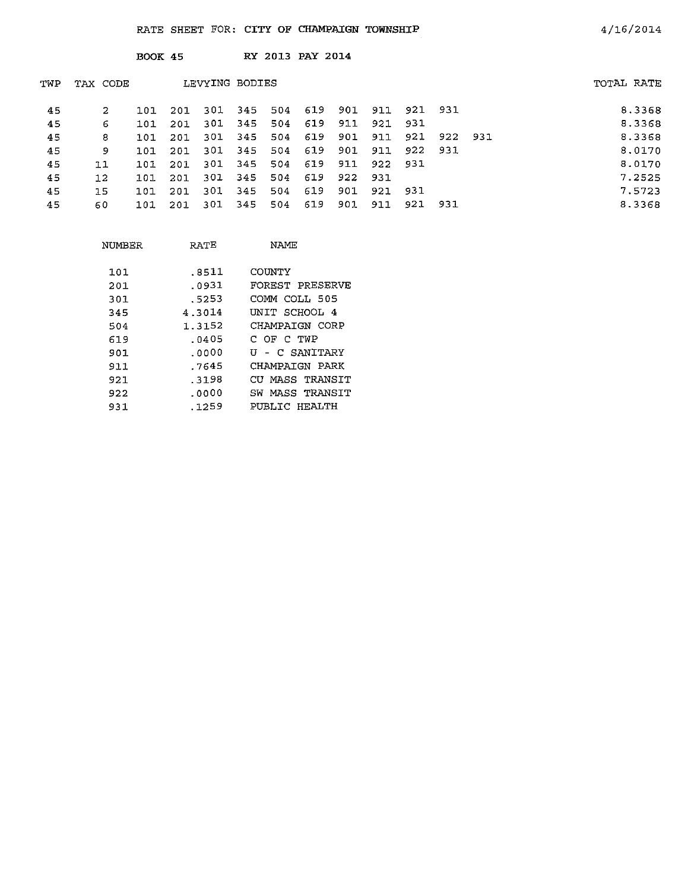|     |              | <b>BOOK 45</b> |     |     |                 |     | RY 2013 PAY 2014 |     |         |         |      |      |            |        |
|-----|--------------|----------------|-----|-----|-----------------|-----|------------------|-----|---------|---------|------|------|------------|--------|
| TWP | TAX CODE     |                |     |     | LEVYING BODIES  |     |                  |     |         |         |      |      | TOTAL RATE |        |
| 45  | $\mathbf{2}$ | 101            | 201 |     | 301 345 504 619 |     |                  | 901 | 911     | 921     | -931 |      |            | 8.3368 |
| 45  | 6.           | 101            | 201 | 301 | 345             | 504 | 619              | 911 | 921 931 |         |      |      |            | 8.3368 |
| 45  | 8            | 101            | 201 | 301 | 345             | 504 | 619              | 901 | 911     | 921     | 922  | -931 |            | 8.3368 |
| 45  | 9.           | 101            | 201 |     | 301 345         | 504 | 619              | 901 | 911     | 922     | -931 |      |            | 8.0170 |
| 45  | 11           | 101            | 201 |     | 301 345         | 504 | 619              | 911 | 922 931 |         |      |      |            | 8.0170 |
| 45  | 12           | 101            | 201 | 301 | 345             | 504 | 619              | 922 | 931     |         |      |      |            | 7.2525 |
| 45  | 15           | 101            | 201 | 301 | 345             | 504 | 619              | 901 | 921 931 |         |      |      |            | 7.5723 |
| 45  | 60           | 101            | 201 | 301 | 345             | 504 | 619              | 901 | 911     | 921 931 |      |      |            | 8.3368 |

| NUMBER | RATE    | NAME               |
|--------|---------|--------------------|
| 101    | .8511   | COUNTY             |
| 201    | .0931   | FOREST PRESERVE    |
| 301    | .5253   | COMM COLL 505      |
| 345    | 4.3014  | UNIT SCHOOL 4      |
| 504    | 1.3152  | CHAMPAIGN CORP     |
| 619    | . 04 05 | C OF C TWP         |
| 901    | .0000   | U - C SANITARY     |
| 911    | .7645   | CHAMPAIGN PARK     |
| 921    | .3198   | CU MASS TRANSIT    |
| 922    | .0000   | MASS TRANSIT<br>SW |
| 931    | .1259   | PUBLIC HEALTH      |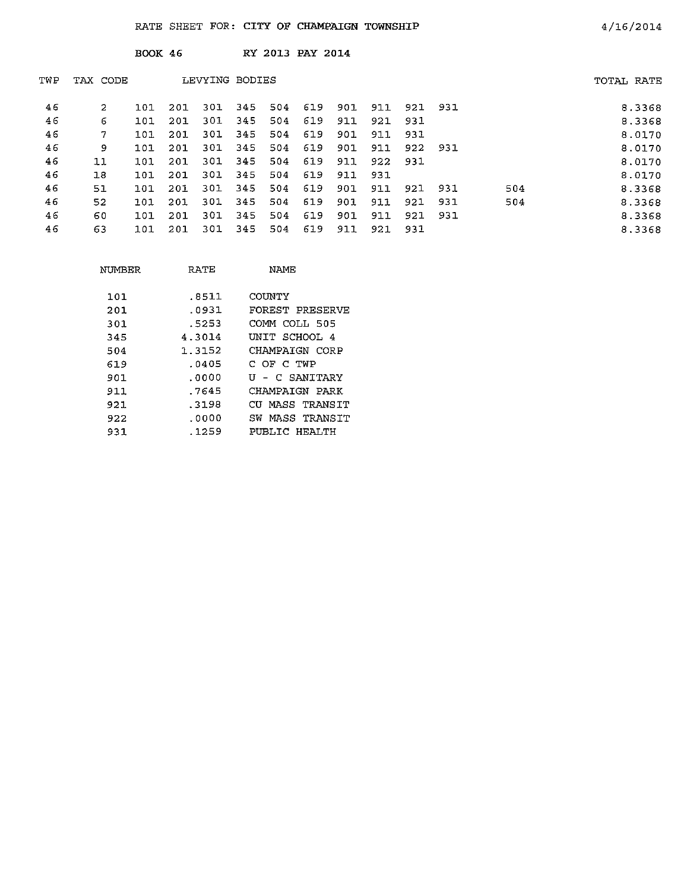BOOK 46 RY 2013 PAY 2014

| TWP | TAX CODE |        |     | LEVYING BODIES |     |     |     |     |         |         |      |     | TOTAL RATE |
|-----|----------|--------|-----|----------------|-----|-----|-----|-----|---------|---------|------|-----|------------|
| 46  | 2        | ่า ด า | 201 | 301            | 345 | 504 | 619 | 901 | 911     | 921 931 |      |     | 8.3368     |
| 46  | 6        | 101    | 201 | 301            | 345 | 504 | 619 | 911 | 921     | 931     |      |     | 8.3368     |
| 46  | 7        | 101    | 201 | 301            | 345 | 504 | 619 | 901 | 911     | 931     |      |     | 8.0170     |
| 46  | 9        | 101    | 201 | 301            | 345 | 504 | 619 | 901 | 911     | 922 931 |      |     | 8.0170     |
| 46  | 11       | 101    | 201 | 301            | 345 | 504 | 619 | 911 | 922 931 |         |      |     | 8.0170     |
| 46  | 18       | 101    | 201 | -301           | 345 | 504 | 619 | 911 | 931     |         |      |     | 8.0170     |
| 46  | 51       | 101    | 201 | 301            | 345 | 504 | 619 | 901 | 911     | 921     | 931  | 504 | 8.3368     |
| 46  | 52       | 101    | 201 | 301            | 345 | 504 | 619 | 901 | 911     | 921     | 931  | 504 | 8.3368     |
| 46  | 60       | 101    | 201 | 301            | 345 | 504 | 619 | 901 | 911     | 921     | -931 |     | 8.3368     |
| 46  | 63       | 101    | 201 | 301            | 345 | 504 | 619 | 911 | 921     | -931    |      |     | 8.3368     |

| NUMBER | RATE   | NAME.                |
|--------|--------|----------------------|
| 101    | .8511  | COUNTY               |
| 201    | .0931  | FOREST PRESERVE      |
| 301.   | .5253  | COMM COLL 505        |
| 345    | 4.3014 | UNIT SCHOOL 4        |
| 504    | 1.3152 | CHAMPAIGN CORP       |
| 619    | .0405  | C OF C TWP           |
| 901    | .0000  | U - C SANTTARY       |
| 911    | .7645  | CHAMPAIGN PARK       |
| 921.   | .3198  | MASS TRANSIT<br>CTT. |
| 922    | . ೧೧೦೦ | MASS TRANSIT<br>SW   |
| 931    | . 1259 | PUBLIC HRALTH        |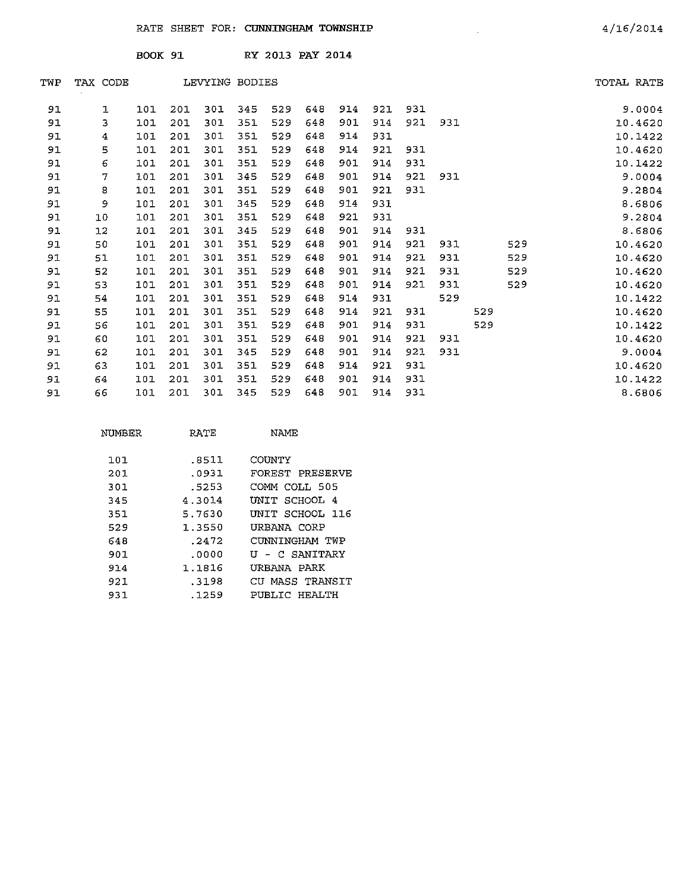BOOK 91 RY 2013 PAY 2014

| TWP | TAX CODE |     |     |     | LEVYING BODIES |     |     |     |     |     |     |     |     | TOTAL RATE |
|-----|----------|-----|-----|-----|----------------|-----|-----|-----|-----|-----|-----|-----|-----|------------|
| 91  | 1        | 101 | 201 | 301 | 345            | 529 | 648 | 914 | 921 | 931 |     |     |     | 9.0004     |
| 91  | 3        | 101 | 201 | 301 | 351            | 529 | 648 | 901 | 914 | 921 | 931 |     |     | 10.4620    |
| 91  | 4        | 101 | 201 | 301 | 351            | 529 | 648 | 914 | 931 |     |     |     |     | 10.1422    |
| 91  | 5        | 101 | 201 | 301 | 351            | 529 | 648 | 914 | 921 | 931 |     |     |     | 10.4620    |
| 91  | 6        | 101 | 201 | 301 | 351            | 529 | 648 | 901 | 914 | 931 |     |     |     | 10.1422    |
| 91  | 7        | 101 | 201 | 301 | 345            | 529 | 648 | 901 | 914 | 921 | 931 |     |     | 9.0004     |
| 91  | 8        | 101 | 201 | 301 | 351            | 529 | 648 | 901 | 921 | 931 |     |     |     | 9.2804     |
| 91  | 9        | 101 | 201 | 301 | 345            | 529 | 648 | 914 | 931 |     |     |     |     | 8.6806     |
| 91  | 10       | 101 | 201 | 301 | 351            | 529 | 648 | 921 | 931 |     |     |     |     | 9.2804     |
| 91  | 12       | 101 | 201 | 301 | 345            | 529 | 648 | 901 | 914 | 931 |     |     |     | 8.6806     |
| 91  | 50       | 101 | 201 | 301 | 351            | 529 | 648 | 901 | 914 | 921 | 931 |     | 529 | 10.4620    |
| 91  | 51       | 101 | 201 | 301 | 351            | 529 | 648 | 901 | 914 | 921 | 931 |     | 529 | 10.4620    |
| 91  | 52       | 101 | 201 | 301 | 351            | 529 | 648 | 901 | 914 | 921 | 931 |     | 529 | 10.4620    |
| 91  | 53       | 101 | 201 | 301 | 351            | 529 | 648 | 901 | 914 | 921 | 931 |     | 529 | 10.4620    |
| 91  | 54       | 101 | 201 | 301 | 351            | 529 | 648 | 914 | 931 |     | 529 |     |     | 10.1422    |
| 91  | 55       | 101 | 201 | 301 | 351            | 529 | 648 | 914 | 921 | 931 |     | 529 |     | 10.4620    |
| 91  | 56       | 101 | 201 | 301 | 351            | 529 | 648 | 901 | 914 | 931 |     | 529 |     | 10.1422    |
| 91  | 60       | 101 | 201 | 301 | 351            | 529 | 648 | 901 | 914 | 921 | 931 |     |     | 10.4620    |
| 91  | 62       | 101 | 201 | 301 | 345            | 529 | 648 | 901 | 914 | 921 | 931 |     |     | 9.0004     |
| 91  | 63       | 101 | 201 | 301 | 351            | 529 | 648 | 914 | 921 | 931 |     |     |     | 10.4620    |
| 91  | 64       | 101 | 201 | 301 | 351            | 529 | 648 | 901 | 914 | 931 |     |     |     | 10.1422    |
| 91  | 66       | 101 | 201 | 301 | 345            | 529 | 648 | 90I | 914 | 931 |     |     |     | 8.6806     |
|     |          |     |     |     |                |     |     |     |     |     |     |     |     |            |

| NUMBER | RATE   | NAME            |
|--------|--------|-----------------|
| 101    | .8511  | COUNTY          |
| 201    | .0931  | FOREST PRESERVE |
| 301.   | .5253  | COMM COLL 505   |
| 345    | 4.3014 | UNIT SCHOOL 4   |
| 351    | 5.7630 | INIT SCHOOL 116 |
| 529    | 1.3550 | URBANA CORP     |
| 648    | .2472  | CUNNINGHAM TWP  |
| 901.   | .0000  | U - C SANITARY  |
| 914    | 1.1816 | URBANA PARK     |
| 921    | . 3198 | CU MASS TRANSIT |
| 931    | .1259  | PUBLIC HEALTH   |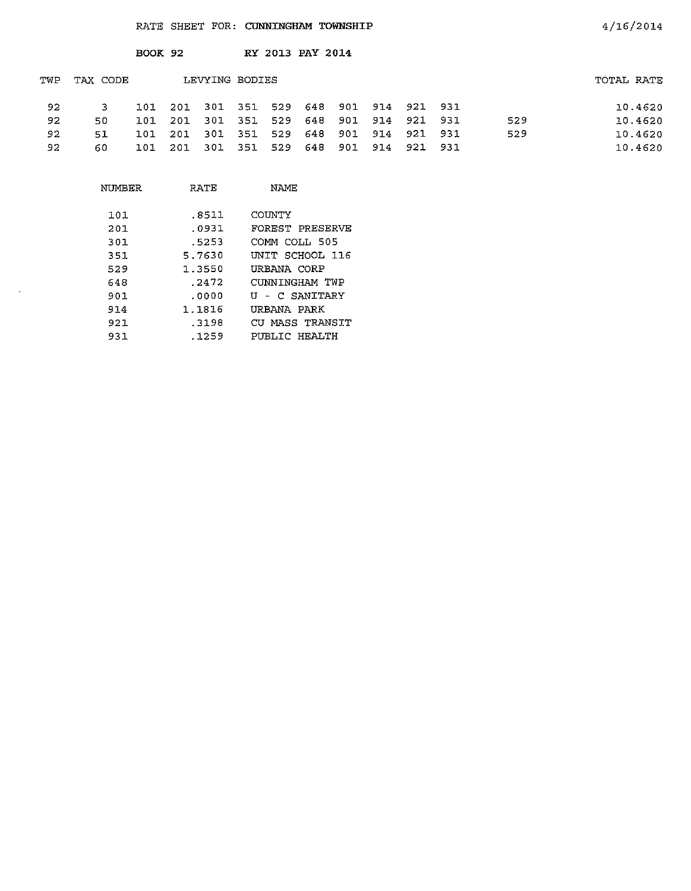|     |          | BOOK 92 |                 |                | RY 2013 PAY 2014 |     |     |                         |             |     |            |
|-----|----------|---------|-----------------|----------------|------------------|-----|-----|-------------------------|-------------|-----|------------|
| TWP | TAX CODE |         |                 | LEVYING BODIES |                  |     |     |                         |             |     | TOTAL RATE |
| 92. | 3.       |         | 101 201 301 351 |                |                  |     |     | 529 648 901 914 921 931 |             |     | 10.4620    |
| 92. | 50.      | 101     | -201            | 301 351        |                  |     |     | 529 648 901 914 921 931 |             | 529 | 10.4620    |
| 92. | 51       | 101     | 201             | 301 351        |                  |     |     | 529 648 901 914 921 931 |             | 529 | 10.4620    |
| 92  | 60       | 101     |                 | 201 301 351    | 529              | 648 | 901 |                         | 914 921 931 |     | 10.4620    |

| RATE   | NAME            |
|--------|-----------------|
| .8511  | COUNTY          |
| .0931  | FOREST PRESERVE |
| .5253  | COMM COLL 505   |
| 5.7630 | UNIT SCHOOL 116 |
| 1.3550 | URBANA CORP     |
| . 2472 | CUNNINGHAM TWP  |
| .0000  | U - C SANITARY  |
| 1.1816 | URBANA PARK     |
| - 3198 | CU MASS TRANSIT |
| .1259  | PUBLIC HEALTH   |
|        |                 |

 $\sim$   $\sim$